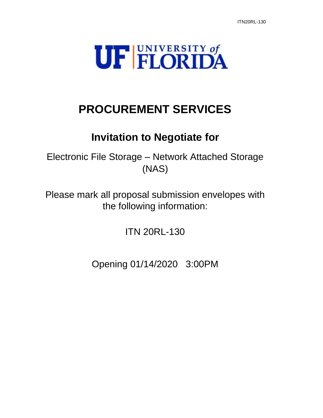

# **PROCUREMENT SERVICES**

## **Invitation to Negotiate for**

Electronic File Storage – Network Attached Storage (NAS)

Please mark all proposal submission envelopes with the following information:

ITN 20RL-130

Opening 01/14/2020 3:00PM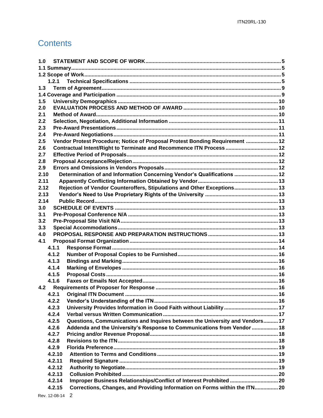## **Contents**

| 1.0  |        |                                                                              |  |  |
|------|--------|------------------------------------------------------------------------------|--|--|
|      |        |                                                                              |  |  |
|      |        |                                                                              |  |  |
|      | 1.2.1  |                                                                              |  |  |
| 1.3  |        |                                                                              |  |  |
|      |        |                                                                              |  |  |
| 1.5  |        |                                                                              |  |  |
| 2.0  |        |                                                                              |  |  |
| 2.1  |        |                                                                              |  |  |
| 2.2  |        |                                                                              |  |  |
| 2.3  |        |                                                                              |  |  |
| 2.4  |        |                                                                              |  |  |
| 2.5  |        | Vendor Protest Procedure; Notice of Proposal Protest Bonding Requirement  12 |  |  |
| 2.6  |        |                                                                              |  |  |
| 2.7  |        |                                                                              |  |  |
| 2.8  |        |                                                                              |  |  |
| 2.9  |        |                                                                              |  |  |
| 2.10 |        | Determination of and Information Concerning Vendor's Qualifications  12      |  |  |
| 2.11 |        |                                                                              |  |  |
| 2.12 |        | Rejection of Vendor Counteroffers, Stipulations and Other Exceptions 13      |  |  |
| 2.13 |        |                                                                              |  |  |
| 2.14 |        |                                                                              |  |  |
| 3.0  |        |                                                                              |  |  |
| 3.1  |        |                                                                              |  |  |
| 3.2  |        |                                                                              |  |  |
| 3.3  |        |                                                                              |  |  |
| 4.0  |        |                                                                              |  |  |
| 4.1  |        |                                                                              |  |  |
|      | 4.1.1  |                                                                              |  |  |
|      | 4.1.2  |                                                                              |  |  |
|      | 4.1.3  |                                                                              |  |  |
|      | 4.1.4  |                                                                              |  |  |
|      | 4.1.5  |                                                                              |  |  |
|      | 4.1.6  |                                                                              |  |  |
|      |        |                                                                              |  |  |
|      |        |                                                                              |  |  |
|      | 4.2.2  |                                                                              |  |  |
|      | 4.2.3  | University Provides Information in Good Faith without Liability  17          |  |  |
|      | 4.2.4  |                                                                              |  |  |
|      | 4.2.5  | Questions, Communications and Inquires between the University and Vendors 17 |  |  |
|      | 4.2.6  | Addenda and the University's Response to Communications from Vendor  18      |  |  |
|      | 4.2.7  |                                                                              |  |  |
|      | 4.2.8  |                                                                              |  |  |
|      | 4.2.9  |                                                                              |  |  |
|      | 4.2.10 |                                                                              |  |  |
|      | 4.2.11 |                                                                              |  |  |
|      | 4.2.12 |                                                                              |  |  |
|      | 4.2.13 |                                                                              |  |  |
|      | 4.2.14 | Improper Business Relationships/Conflict of Interest Prohibited 20           |  |  |
|      | 4.2.15 | Corrections, Changes, and Providing Information on Forms within the ITN 20   |  |  |
|      |        |                                                                              |  |  |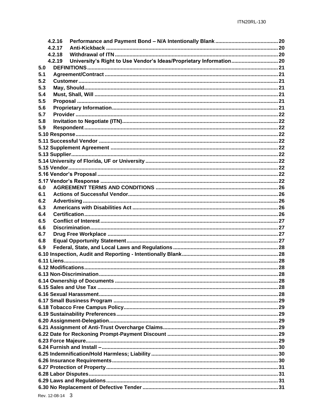| 4.2.16 |                                                                     |  |  |
|--------|---------------------------------------------------------------------|--|--|
| 4.2.17 |                                                                     |  |  |
| 4.2.18 |                                                                     |  |  |
| 4.2.19 | University's Right to Use Vendor's Ideas/Proprietary Information 20 |  |  |
| 5.0    |                                                                     |  |  |
| 5.1    |                                                                     |  |  |
| 5.2    |                                                                     |  |  |
| 5.3    |                                                                     |  |  |
| 5.4    |                                                                     |  |  |
| 5.5    |                                                                     |  |  |
| 5.6    |                                                                     |  |  |
| 5.7    |                                                                     |  |  |
| 5.8    |                                                                     |  |  |
| 5.9    |                                                                     |  |  |
|        |                                                                     |  |  |
|        |                                                                     |  |  |
|        |                                                                     |  |  |
|        |                                                                     |  |  |
|        |                                                                     |  |  |
|        |                                                                     |  |  |
|        |                                                                     |  |  |
|        |                                                                     |  |  |
| 6.0    |                                                                     |  |  |
| 6.1    |                                                                     |  |  |
|        |                                                                     |  |  |
| 6.2    |                                                                     |  |  |
| 6.3    |                                                                     |  |  |
| 6.4    |                                                                     |  |  |
| 6.5    |                                                                     |  |  |
| 6.6    |                                                                     |  |  |
| 6.7    |                                                                     |  |  |
| 6.8    |                                                                     |  |  |
| 6.9    |                                                                     |  |  |
|        |                                                                     |  |  |
|        |                                                                     |  |  |
|        |                                                                     |  |  |
|        |                                                                     |  |  |
|        |                                                                     |  |  |
|        |                                                                     |  |  |
|        |                                                                     |  |  |
|        |                                                                     |  |  |
|        |                                                                     |  |  |
|        |                                                                     |  |  |
|        |                                                                     |  |  |
|        |                                                                     |  |  |
|        |                                                                     |  |  |
|        |                                                                     |  |  |
|        |                                                                     |  |  |
|        |                                                                     |  |  |
|        |                                                                     |  |  |
|        |                                                                     |  |  |
|        |                                                                     |  |  |
|        |                                                                     |  |  |
|        |                                                                     |  |  |
|        |                                                                     |  |  |
|        |                                                                     |  |  |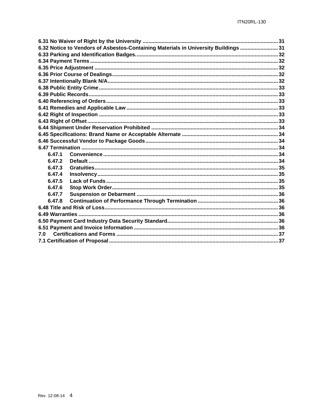|        | 6.32 Notice to Vendors of Asbestos-Containing Materials in University Buildings  31 |  |  |  |
|--------|-------------------------------------------------------------------------------------|--|--|--|
|        |                                                                                     |  |  |  |
|        |                                                                                     |  |  |  |
|        |                                                                                     |  |  |  |
|        |                                                                                     |  |  |  |
|        |                                                                                     |  |  |  |
|        |                                                                                     |  |  |  |
|        |                                                                                     |  |  |  |
|        |                                                                                     |  |  |  |
|        |                                                                                     |  |  |  |
|        |                                                                                     |  |  |  |
|        |                                                                                     |  |  |  |
|        |                                                                                     |  |  |  |
|        |                                                                                     |  |  |  |
|        |                                                                                     |  |  |  |
|        |                                                                                     |  |  |  |
| 6.47.1 |                                                                                     |  |  |  |
| 6.47.2 |                                                                                     |  |  |  |
| 6.47.3 |                                                                                     |  |  |  |
| 6.47.4 |                                                                                     |  |  |  |
| 6.47.5 |                                                                                     |  |  |  |
| 6.47.6 |                                                                                     |  |  |  |
| 6.47.7 |                                                                                     |  |  |  |
| 6.47.8 |                                                                                     |  |  |  |
|        |                                                                                     |  |  |  |
|        |                                                                                     |  |  |  |
|        |                                                                                     |  |  |  |
|        |                                                                                     |  |  |  |
| 70     |                                                                                     |  |  |  |
|        |                                                                                     |  |  |  |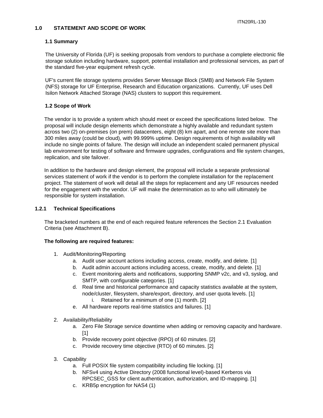#### <span id="page-4-0"></span>**1.0 STATEMENT AND SCOPE OF WORK**

## <span id="page-4-1"></span> **1.1 Summary**

The University of Florida (UF) is seeking proposals from vendors to purchase a complete electronic file storage solution including hardware, support, potential installation and professional services, as part of the standard five-year equipment refresh cycle.

UF's current file storage systems provides Server Message Block (SMB) and Network File System (NFS) storage for UF Enterprise, Research and Education organizations. Currently, UF uses Dell Isilon Network Attached Storage (NAS) clusters to support this requirement.

## <span id="page-4-2"></span> **1.2 Scope of Work**

The vendor is to provide a system which should meet or exceed the specifications listed below. The proposal will include design elements which demonstrate a highly available and redundant system across two (2) on-premises (on prem) datacenters, eight (8) km apart, and one remote site more than 300 miles away (could be cloud), with 99.999% uptime. Design requirements of high availability will include no single points of failure. The design will include an independent scaled permanent physical lab environment for testing of software and firmware upgrades, configurations and file system changes, replication, and site failover.

In addition to the hardware and design element, the proposal will include a separate professional services statement of work if the vendor is to perform the complete installation for the replacement project. The statement of work will detail all the steps for replacement and any UF resources needed for the engagement with the vendor. UF will make the determination as to who will ultimately be responsible for system installation.

## <span id="page-4-3"></span>**1.2.1 Technical Specifications**

The bracketed numbers at the end of each required feature references the Section 2.1 Evaluation Criteria (see Attachment B).

#### **The following are required features:**

- 1. Audit/Monitoring/Reporting
	- a. Audit user account actions including access, create, modify, and delete. [1]
	- b. Audit admin account actions including access, create, modify, and delete. [1]
	- c. Event monitoring alerts and notifications, supporting SNMP v2c, and v3, syslog, and SMTP, with configurable categories. [1]
	- d. Real time and historical performance and capacity statistics available at the system, node/cluster, filesystem, share/export, directory, and user quota levels. [1]
		- i. Retained for a minimum of one (1) month. [2]
	- e. All hardware reports real-time statistics and failures. [1]
- 2. Availability/Reliability
	- a. Zero File Storage service downtime when adding or removing capacity and hardware. [1]
	- b. Provide recovery point objective (RPO) of 60 minutes. [2]
	- c. Provide recovery time objective (RTO) of 60 minutes. [2]
- 3. Capability
	- a. Full POSIX file system compatibility including file locking. [1]
	- b. NFSv4 using Active Directory (2008 functional level)-based Kerberos via RPCSEC\_GSS for client authentication, authorization, and ID-mapping. [1]
	- c. KRB5p encryption for NAS4 (1)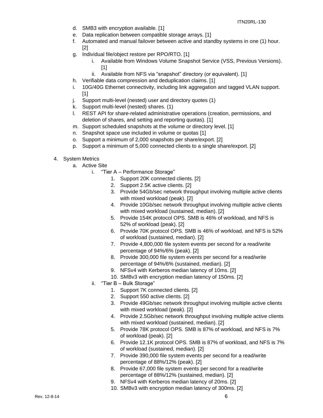- d. SMB3 with encryption available. [1]
- e. Data replication between compatible storage arrays. [1]
- f. Automated and manual failover between active and standby systems in one (1) hour. [2]
- g. Individual file/object restore per RPO/RTO. [1]
	- i. Available from Windows Volume Snapshot Service (VSS, Previous Versions). [1]
	- ii. Available from NFS via "snapshot" directory (or equivalent). [1]
- h. Verifiable data compression and deduplication claims. [1]
- i. 10G/40G Ethernet connectivity, including link aggregation and tagged VLAN support.  $[1]$
- j. Support multi-level (nested) user and directory quotes (1)
- k. Support multi-level (nested) shares. (1)
- l. REST API for share-related administrative operations (creation, permissions, and deletion of shares, and setting and reporting quotas). [1]
- m. Support scheduled snapshots at the volume or directory level. [1]
- n. Snapshot space use included in volume or quotas [1]
- o. Support a minimum of 2,000 snapshots per share/export. [2]
- p. Support a minimum of 5,000 connected clients to a single share/export. [2]
- 4. System Metrics
	- a. Active Site
		- i. "Tier A Performance Storage"
			- 1. Support 20K connected clients. [2]
			- 2. Support 2.5K active clients. [2]
			- 3. Provide 54Gb/sec network throughput involving multiple active clients with mixed workload (peak). [2]
			- 4. Provide 10Gb/sec network throughput involving multiple active clients with mixed workload (sustained, median). [2]
			- 5. Provide 154K protocol OPS. SMB is 46% of workload, and NFS is 52% of workload (peak). [2]
			- 6. Provide 70K protocol OPS. SMB is 46% of workload, and NFS is 52% of workload (sustained, median). [2]
			- 7. Provide 4,800,000 file system events per second for a read/write percentage of 94%/6% (peak). [2]
			- 8. Provide 300,000 file system events per second for a read/write percentage of 94%/6% (sustained, median). [2]
			- 9. NFSv4 with Kerberos median latency of 10ms. [2]
			- 10. SMBv3 with encryption median latency of 150ms. [2]
		- ii. "Tier B Bulk Storage"
			- 1. Support 7K connected clients. [2]
			- 2. Support 550 active clients. [2]
			- 3. Provide 49Gb/sec network throughput involving multiple active clients with mixed workload (peak). [2]
			- 4. Provide 2.5Gb/sec network throughput involving multiple active clients with mixed workload (sustained, median). [2]
			- 5. Provide 78K protocol OPS. SMB is 87% of workload, and NFS is 7% of workload (peak). [2]
			- 6. Provide 12.1K protocol OPS. SMB is 87% of workload, and NFS is 7% of workload (sustained, median). [2]
			- 7. Provide 390,000 file system events per second for a read/write percentage of 88%/12% (peak). [2]
			- 8. Provide 67,000 file system events per second for a read/write percentage of 88%/12% (sustained, median). [2]
			- 9. NFSv4 with Kerberos median latency of 20ms. [2]
			- 10. SMBv3 with encryption median latency of 300ms. [2]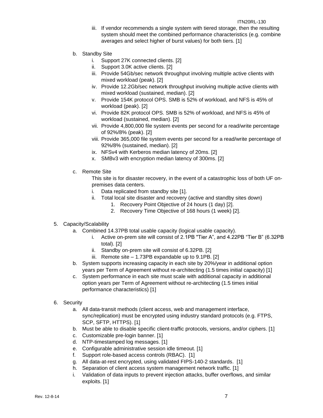- iii. If vendor recommends a single system with tiered storage, then the resulting system should meet the combined performance characteristics (e.g. combine averages and select higher of burst values) for both tiers. [1]
- b. Standby Site
	- i. Support 27K connected clients. [2]
	- ii. Support 3.0K active clients. [2]
	- iii. Provide 54Gb/sec network throughput involving multiple active clients with mixed workload (peak). [2]
	- iv. Provide 12.2Gb/sec network throughput involving multiple active clients with mixed workload (sustained, median). [2]
	- v. Provide 154K protocol OPS. SMB is 52% of workload, and NFS is 45% of workload (peak). [2]
	- vi. Provide 82K protocol OPS. SMB is 52% of workload, and NFS is 45% of workload (sustained, median). [2]
	- vii. Provide 4,800,000 file system events per second for a read/write percentage of 92%/8% (peak). [2]
	- viii. Provide 365,000 file system events per second for a read/write percentage of 92%/8% (sustained, median). [2]
	- ix. NFSv4 with Kerberos median latency of 20ms. [2]
	- x. SMBv3 with encryption median latency of 300ms. [2]
- c. Remote Site

This site is for disaster recovery, in the event of a catastrophic loss of both UF onpremises data centers.

- i. Data replicated from standby site [1].
- ii. Total local site disaster and recovery (active and standby sites down)
	- 1. Recovery Point Objective of 24 hours (1 day) [2].
	- 2. Recovery Time Objective of 168 hours (1 week) [2].
- 5. Capacity/Scalability
	- a. Combined 14.37PB total usable capacity (logical usable capacity).
		- i. Active on-prem site will consist of 2.1PB "Tier A", and 4.22PB "Tier B" (6.32PB total). [2]
		- ii. Standby on-prem site will consist of 6.32PB. [2]
		- iii. Remote site 1.73PB expandable up to 9.1PB. [2]
	- b. System supports increasing capacity in each site by 20%/year in additional option years per Term of Agreement without re-architecting (1.5 times initial capacity) [1]
	- c. System performance in each site must scale with additional capacity in additional option years per Term of Agreement without re-architecting (1.5 times initial performance characteristics) [1]
- 6. Security
	- a. All data-transit methods (client access, web and management interface, sync/replication) must be encrypted using industry standard protocols (e.g. FTPS, SCP, SFTP, HTTPS). [1]
	- b. Must be able to disable specific client-traffic protocols, versions, and/or ciphers. [1]
	- c. Customizable pre-login banner. [1]
	- d. NTP-timestamped log messages. [1]
	- e. Configurable administrative session idle timeout. [1]
	- f. Support role-based access controls (RBAC). [1]
	- g. All data-at-rest encrypted, using validated FIPS-140-2 standards. [1]
	- h. Separation of client access system management network traffic. [1]
	- i. Validation of data inputs to prevent injection attacks, buffer overflows, and similar exploits. [1]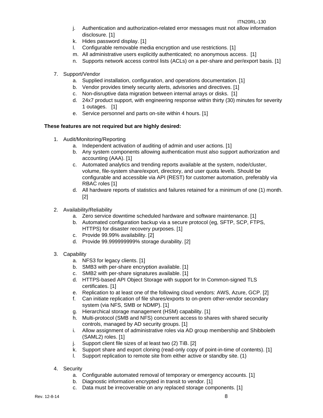#### ITN20RL-130

- j. Authentication and authorization-related error messages must not allow information disclosure. [1]
- k. Hides password display. [1]
- l. Configurable removable media encryption and use restrictions. [1]
- m. All administrative users explicitly authenticated; no anonymous access. [1]
- n. Supports network access control lists (ACLs) on a per-share and per/export basis. [1]
- 7. Support/Vendor
	- a. Supplied installation, configuration, and operations documentation. [1]
	- b. Vendor provides timely security alerts, advisories and directives. [1]
	- c. Non-disruptive data migration between internal arrays or disks. [1]
	- d. 24x7 product support, with engineering response within thirty (30) minutes for severity 1 outages. [1]
	- e. Service personnel and parts on-site within 4 hours. [1]

## **These features are not required but are highly desired:**

- 1. Audit/Monitoring/Reporting
	- a. Independent activation of auditing of admin and user actions. [1]
	- b. Any system components allowing authentication must also support authorization and accounting (AAA). [1]
	- c. Automated analytics and trending reports available at the system, node/cluster, volume, file-system share/export, directory, and user quota levels. Should be configurable and accessible via API (REST) for customer automation, preferably via RBAC roles [1]
	- d. All hardware reports of statistics and failures retained for a minimum of one (1) month. [2]
- 2. Availability/Reliability
	- a. Zero service downtime scheduled hardware and software maintenance. [1]
	- b. Automated configuration backup via a secure protocol (eg, SFTP, SCP, FTPS, HTTPS) for disaster recovery purposes. [1]
	- c. Provide 99.99% availability. [2]
	- d. Provide 99.999999999% storage durability. [2]
- 3. Capability
	- a. NFS3 for legacy clients. [1]
	- b. SMB3 with per-share encryption available. [1]
	- c. SMB2 with per-share signatures available. [1]
	- d. HTTPS-based API Object Storage with support for In Common-signed TLS certificates. [1]
	- e. Replication to at least one of the following cloud vendors: AWS, Azure, GCP. [2]
	- f. Can initiate replication of file shares/exports to on-prem other-vendor secondary system (via NFS, SMB or NDMP). [1]
	- g. Hierarchical storage management (HSM) capability. [1]
	- h. Multi-protocol (SMB and NFS) concurrent access to shares with shared security controls, managed by AD security groups. [1]
	- i. Allow assignment of administrative roles via AD group membership and Shibboleth (SAML2) roles. [1]
	- j. Support client file sizes of at least two (2) TiB. [2]
	- k. Support share and export cloning (read-only copy of point-in-time of contents). [1]
	- l. Support replication to remote site from either active or standby site. (1)
- 4. Security
	- a. Configurable automated removal of temporary or emergency accounts. [1]
	- b. Diagnostic information encrypted in transit to vendor. [1]
	- c. Data must be irrecoverable on any replaced storage components. [1]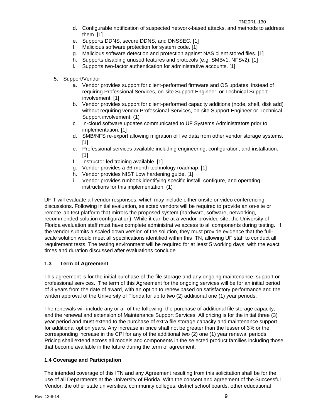- d. Configurable notification of suspected network-based attacks, and methods to address them. [1]
- e. Supports DDNS, secure DDNS, and DNSSEC. [1]
- f. Malicious software protection for system code. [1]
- g. Malicious software detection and protection against NAS client stored files. [1]
- h. Supports disabling unused features and protocols (e.g. SMBv1, NFSv2). [1]
- i. Supports two-factor authentication for administrative accounts. [1]
- 5. Support/Vendor
	- a. Vendor provides support for client-performed firmware and OS updates, instead of requiring Professional Services, on-site Support Engineer, or Technical Support involvement. [1]
	- b. Vendor provides support for client-performed capacity additions (node, shelf, disk add) without requiring vendor Professional Services, on-site Support Engineer or Technical Support involvement. (1)
	- c. In-cloud software updates communicated to UF Systems Administrators prior to implementation. [1]
	- d. SMB/NFS re-export allowing migration of live data from other vendor storage systems. [1]
	- e. Professional services available including engineering, configuration, and installation. [1]
	- f. Instructor-led training available. [1]
	- g. Vendor provides a 36-month technology roadmap. [1]
	- h. Vendor provides NIST Low hardening guide. [1]
	- i. Vendor provides runbook identifying specific install, configure, and operating instructions for this implementation. (1)

UFIT will evaluate all vendor responses, which may include either onsite or video conferencing discussions. Following initial evaluation, selected vendors will be required to provide an on-site or remote lab test platform that mirrors the proposed system (hardware, software, networking, recommended solution configuration). While it can be at a vendor-provided site, the University of Florida evaluation staff must have complete administrative access to all components during testing. If the vendor submits a scaled down version of the solution, they must provide evidence that the fullscale solution would meet all specifications identified within this ITN, allowing UF staff to conduct all requirement tests. The testing environment will be required for at least 5 working days, with the exact times and duration discussed after evaluations conclude.

## <span id="page-8-0"></span>**1.3 Term of Agreement**

This agreement is for the initial purchase of the file storage and any ongoing maintenance, support or professional services. The term of this Agreement for the ongoing services will be for an initial period of 3 years from the date of award, with an option to renew based on satisfactory performance and the written approval of the University of Florida for up to two (2) additional one (1) year periods.

The renewals will include any or all of the following: the purchase of additional file storage capacity, and the renewal and extension of Maintenance Support Services. All pricing is for the initial three (3) year period and must extend to the purchase of extra file storage capacity and maintenance support for additional option years. Any increase in price shall not be greater than the lesser of 3% or the corresponding increase in the CPI for any of the additional two (2) one (1) year renewal periods. Pricing shall extend across all models and components in the selected product families including those that become available in the future during the term of agreement.

## <span id="page-8-1"></span>**1.4 Coverage and Participation**

The intended coverage of this ITN and any Agreement resulting from this solicitation shall be for the use of all Departments at the University of Florida. With the consent and agreement of the Successful Vendor, the other state universities, community colleges, district school boards, other educational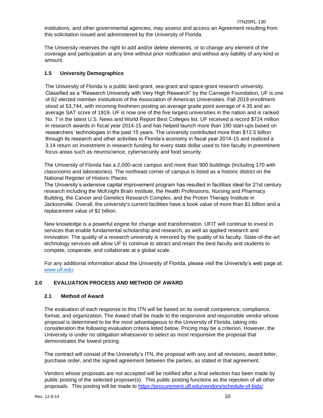The University reserves the right to add and/or delete elements, or to change any element of the coverage and participation at any time without prior notification and without any liability of any kind or amount.

## <span id="page-9-0"></span>**1.5 University Demographics**

The University of Florida is a public land-grant, sea-grant and space-grant research university. Classified as a "Research University with Very High Research" by the Carnegie Foundation, UF is one of 62 elected member institutions of the Association of American Universities. Fall 2019 enrollment stood at 53,744, with incoming freshmen posting an average grade point average of 4.35 and an average SAT score of 1919. UF is now one of the five largest universities in the nation and is ranked No. 7 in the latest U.S. News and World Report Best Colleges list. UF received a record \$724 million in research awards in fiscal year 2014-15 and has helped launch more than 190 start-ups based on researchers' technologies in the past 15 years. The university contributed more than \$12.5 billion through its research and other activities to Florida's economy in fiscal year 2014-15 and realized a 3.14 return on investment in research funding for every state dollar used to hire faculty in preeminent focus areas such as neuroscience, cybersecurity and food security.

The University of Florida has a 2,000-acre campus and more than 900 buildings (including 170 with classrooms and laboratories). The northeast corner of campus is listed as a historic district on the National Register of Historic Places.

The University's extensive capital improvement program has resulted in facilities ideal for 21st century research including the McKnight Brain Institute, the Health Professions, Nursing and Pharmacy Building, the Cancer and Genetics Research Complex, and the Proton Therapy Institute in Jacksonville. Overall, the university's current facilities have a book value of more than \$1 billion and a replacement value of \$2 billion.

New knowledge is a powerful engine for change and transformation. UFIT will continue to invest in services that enable fundamental scholarship and research, as well as applied research and innovation. The quality of a research university is mirrored by the quality of its faculty. State-of-the-art technology services will allow UF to continue to attract and retain the best faculty and students to compete, cooperate, and collaborate at a global scale.

For any additional information about the University of Florida, please visit the University's web page at: [www.ufl.edu.](http://www.ufl.edu/)

## <span id="page-9-1"></span>**2.0 EVALUATION PROCESS AND METHOD OF AWARD**

## <span id="page-9-2"></span>**2.1 Method of Award**

The evaluation of each response to this ITN will be based on its overall competence, compliance, format, and organization. The Award shall be made to the responsive and responsible vendor whose proposal is determined to be the most advantageous to the University of Florida, taking into consideration the following evaluation criteria listed below. Pricing may be a criterion. However, the University is under no obligation whatsoever to select as most responsive the proposal that demonstrates the lowest pricing.

The contract will consist of the University's ITN, the proposal with any and all revisions, award letter, purchase order, and the signed agreement between the parties, as stated in that agreement.

Vendors whose proposals are not accepted will be notified after a final selection has been made by public posting of the selected proposer(s). This public posting functions as the rejection of all other proposals. This posting will be made to [https://procurement.ufl.edu/vendors/schedule-of-bids/.](https://procurement.ufl.edu/vendors/schedule-of-bids/)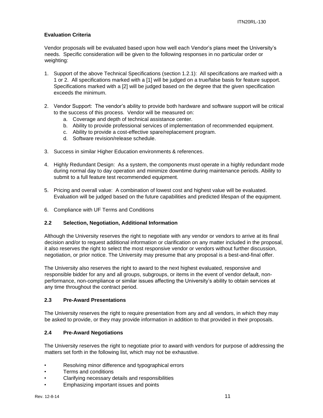## **Evaluation Criteria**

Vendor proposals will be evaluated based upon how well each Vendor's plans meet the University's needs. Specific consideration will be given to the following responses in no particular order or weighting:

- 1. Support of the above Technical Specifications (section 1.2.1): All specifications are marked with a 1 or 2. All specifications marked with a [1] will be judged on a true/false basis for feature support. Specifications marked with a [2] will be judged based on the degree that the given specification exceeds the minimum.
- 2. Vendor Support: The vendor's ability to provide both hardware and software support will be critical to the success of this process. Vendor will be measured on:
	- a. Coverage and depth of technical assistance center.
	- b. Ability to provide professional services of implementation of recommended equipment.
	- c. Ability to provide a cost-effective spare/replacement program.
	- d. Software revision/release schedule.
- 3. Success in similar Higher Education environments & references.
- 4. Highly Redundant Design: As a system, the components must operate in a highly redundant mode during normal day to day operation and minimize downtime during maintenance periods. Ability to submit to a full feature test recommended equipment.
- 5. Pricing and overall value: A combination of lowest cost and highest value will be evaluated. Evaluation will be judged based on the future capabilities and predicted lifespan of the equipment.
- 6. Compliance with UF Terms and Conditions

#### <span id="page-10-0"></span>**2.2 Selection, Negotiation, Additional Information**

Although the University reserves the right to negotiate with any vendor or vendors to arrive at its final decision and/or to request additional information or clarification on any matter included in the proposal, it also reserves the right to select the most responsive vendor or vendors without further discussion, negotiation, or prior notice. The University may presume that any proposal is a best-and-final offer.

The University also reserves the right to award to the next highest evaluated, responsive and responsible bidder for any and all groups, subgroups, or items in the event of vendor default, nonperformance, non-compliance or similar issues affecting the University's ability to obtain services at any time throughout the contract period.

#### <span id="page-10-1"></span>**2.3 Pre-Award Presentations**

The University reserves the right to require presentation from any and all vendors, in which they may be asked to provide, or they may provide information in addition to that provided in their proposals.

#### <span id="page-10-2"></span>**2.4 Pre-Award Negotiations**

The University reserves the right to negotiate prior to award with vendors for purpose of addressing the matters set forth in the following list, which may not be exhaustive.

- Resolving minor difference and typographical errors
- Terms and conditions
- Clarifying necessary details and responsibilities
- Emphasizing important issues and points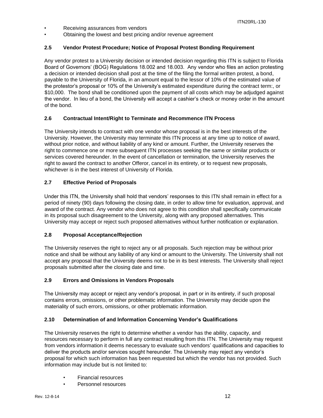- Receiving assurances from vendors
- Obtaining the lowest and best pricing and/or revenue agreement

## <span id="page-11-0"></span>**2.5 Vendor Protest Procedure; Notice of Proposal Protest Bonding Requirement**

Any vendor protest to a University decision or intended decision regarding this ITN is subject to Florida Board of Governors' (BOG) Regulations 18.002 and 18.003. Any vendor who files an action protesting a decision or intended decision shall post at the time of the filing the formal written protest, a bond, payable to the University of Florida, in an amount equal to the lessor of 10% of the estimated value of the protestor's proposal or 10% of the University's estimated expenditure during the contract term:, or \$10,000. The bond shall be conditioned upon the payment of all costs which may be adjudged against the vendor. In lieu of a bond, the University will accept a cashier's check or money order in the amount of the bond.

## <span id="page-11-1"></span>**2.6 Contractual Intent/Right to Terminate and Recommence ITN Process**

The University intends to contract with one vendor whose proposal is in the best interests of the University. However, the University may terminate this ITN process at any time up to notice of award, without prior notice, and without liability of any kind or amount. Further, the University reserves the right to commence one or more subsequent ITN processes seeking the same or similar products or services covered hereunder. In the event of cancellation or termination, the University reserves the right to award the contract to another Offeror, cancel in its entirety, or to request new proposals, whichever is in the best interest of University of Florida.

## <span id="page-11-2"></span>**2.7 Effective Period of Proposals**

Under this ITN, the University shall hold that vendors' responses to this ITN shall remain in effect for a period of ninety (90) days following the closing date, in order to allow time for evaluation, approval, and award of the contract. Any vendor who does not agree to this condition shall specifically communicate in its proposal such disagreement to the University, along with any proposed alternatives. This University may accept or reject such proposed alternatives without further notification or explanation.

## <span id="page-11-3"></span>**2.8 Proposal Acceptance/Rejection**

The University reserves the right to reject any or all proposals. Such rejection may be without prior notice and shall be without any liability of any kind or amount to the University. The University shall not accept any proposal that the University deems not to be in its best interests. The University shall reject proposals submitted after the closing date and time.

#### <span id="page-11-4"></span>**2.9 Errors and Omissions in Vendors Proposals**

The University may accept or reject any vendor's proposal, in part or in its entirety, if such proposal contains errors, omissions, or other problematic information. The University may decide upon the materiality of such errors, omissions, or other problematic information.

## <span id="page-11-5"></span>**2.10 Determination of and Information Concerning Vendor's Qualifications**

The University reserves the right to determine whether a vendor has the ability, capacity, and resources necessary to perform in full any contract resulting from this ITN. The University may request from vendors information it deems necessary to evaluate such vendors' qualifications and capacities to deliver the products and/or services sought hereunder. The University may reject any vendor's proposal for which such information has been requested but which the vendor has not provided. Such information may include but is not limited to:

- Financial resources
- Personnel resources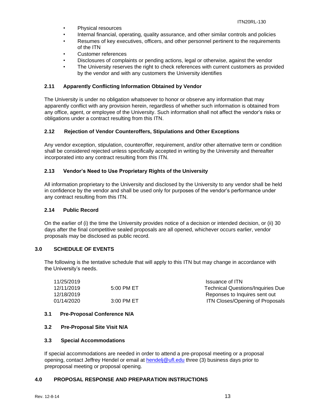- Physical resources
- Internal financial, operating, quality assurance, and other similar controls and policies
- Resumes of key executives, officers, and other personnel pertinent to the requirements of the ITN
- Customer references
- Disclosures of complaints or pending actions, legal or otherwise, against the vendor
- The University reserves the right to check references with current customers as provided by the vendor and with any customers the University identifies

## <span id="page-12-0"></span>**2.11 Apparently Conflicting Information Obtained by Vendor**

The University is under no obligation whatsoever to honor or observe any information that may apparently conflict with any provision herein, regardless of whether such information is obtained from any office, agent, or employee of the University. Such information shall not affect the vendor's risks or obligations under a contract resulting from this ITN.

## <span id="page-12-1"></span>**2.12 Rejection of Vendor Counteroffers, Stipulations and Other Exceptions**

Any vendor exception, stipulation, counteroffer, requirement, and/or other alternative term or condition shall be considered rejected unless specifically accepted in writing by the University and thereafter incorporated into any contract resulting from this ITN.

## <span id="page-12-2"></span>**2.13 Vendor's Need to Use Proprietary Rights of the University**

All information proprietary to the University and disclosed by the University to any vendor shall be held in confidence by the vendor and shall be used only for purposes of the vendor's performance under any contract resulting from this ITN.

#### <span id="page-12-3"></span>**2.14 Public Record**

On the earlier of (i) the time the University provides notice of a decision or intended decision, or (ii) 30 days after the final competitive sealed proposals are all opened, whichever occurs earlier, vendor proposals may be disclosed as public record.

#### <span id="page-12-4"></span>**3.0 SCHEDULE OF EVENTS**

The following is the tentative schedule that will apply to this ITN but may change in accordance with the University's needs.

| Issuance of ITN                        |
|----------------------------------------|
| Technical Questions/Inquiries Due      |
| Reponses to Inquires sent out          |
| <b>ITN Closes/Opening of Proposals</b> |
|                                        |

#### <span id="page-12-5"></span>**3.1 Pre-Proposal Conference N/A**

#### <span id="page-12-6"></span>**3.2 Pre-Proposal Site Visit N/A**

#### <span id="page-12-7"></span>**3.3 Special Accommodations**

If special accommodations are needed in order to attend a pre-proposal meeting or a proposal opening, contact Jeffrey Hendel or email at hendelj@ufl.edu three (3) business days prior to preproposal meeting or proposal opening.

#### <span id="page-12-8"></span>**4.0 PROPOSAL RESPONSE AND PREPARATION INSTRUCTIONS**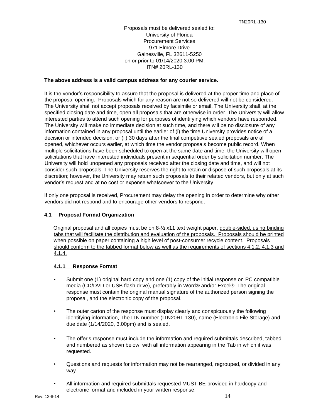Proposals must be delivered sealed to: University of Florida Procurement Services 971 Elmore Drive Gainesville, FL 32611-5250 on or prior to 01/14/2020 3:00 PM. ITN# 20RL-130

## **The above address is a valid campus address for any courier service.**

It is the vendor's responsibility to assure that the proposal is delivered at the proper time and place of the proposal opening. Proposals which for any reason are not so delivered will not be considered. The University shall not accept proposals received by facsimile or email. The University shall, at the specified closing date and time, open all proposals that are otherwise in order. The University will allow interested parties to attend such opening for purposes of identifying which vendors have responded. The University will make no immediate decision at such time, and there will be no disclosure of any information contained in any proposal until the earlier of (i) the time University provides notice of a decision or intended decision, or (ii) 30 days after the final competitive sealed proposals are all opened, whichever occurs earlier, at which time the vendor proposals become public record. When multiple solicitations have been scheduled to open at the same date and time, the University will open solicitations that have interested individuals present in sequential order by solicitation number. The University will hold unopened any proposals received after the closing date and time, and will not consider such proposals. The University reserves the right to retain or dispose of such proposals at its discretion; however, the University may return such proposals to their related vendors, but only at such vendor's request and at no cost or expense whatsoever to the University.

If only one proposal is received, Procurement may delay the opening in order to determine why other vendors did not respond and to encourage other vendors to respond.

## <span id="page-13-0"></span>**4.1 Proposal Format Organization**

Original proposal and all copies must be on 8-½ x11 text weight paper, double-sided, using binding tabs that will facilitate the distribution and evaluation of the proposals. Proposals should be printed when possible on paper containing a high level of post-consumer recycle content. Proposals should conform to the tabbed format below as well as the requirements of sections 4.1.2, 4.1.3 and 4.1.4.

## <span id="page-13-1"></span>**4.1.1 Response Format**

- Submit one (1) original hard copy and one (1) copy of the initial response on PC compatible media (CD/DVD or USB flash drive), preferably in Word® and/or Excel®. The original response must contain the original manual signature of the authorized person signing the proposal, and the electronic copy of the proposal.
- The outer carton of the response must display clearly and conspicuously the following identifying information, The ITN number (ITN20RL-130), name (Electronic File Storage) and due date (1/14/2020, 3.00pm) and is sealed.
- The offer's response must include the information and required submittals described, tabbed and numbered as shown below, with all information appearing in the Tab in which it was requested.
- Questions and requests for information may not be rearranged, regrouped, or divided in any way.
- All information and required submittals requested MUST BE provided in hardcopy and electronic format and included in your written response.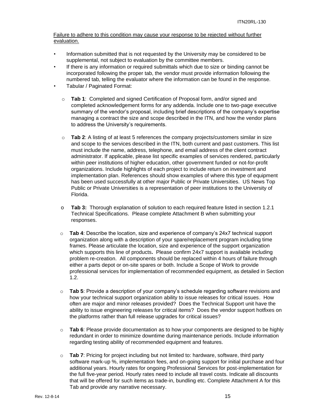Failure to adhere to this condition may cause your response to be rejected without further evaluation.

- Information submitted that is not requested by the University may be considered to be supplemental, not subject to evaluation by the committee members.
- If there is any information or required submittals which due to size or binding cannot be incorporated following the proper tab, the vendor must provide information following the numbered tab, telling the evaluator where the information can be found in the response.
- Tabular / Paginated Format:
	- o **Tab 1**: Completed and signed Certification of Proposal form, and/or signed and completed acknowledgement forms for any addenda. Include one to two-page executive summary of the vendor's proposal, including brief descriptions of the company's expertise managing a contract the size and scope described in the ITN, and how the vendor plans to address the University's requirements.
	- o **Tab 2**: A listing of at least 5 references the company projects/customers similar in size and scope to the services described in the ITN, both current and past customers. This list must include the name, address, telephone, and email address of the client contract administrator. If applicable, please list specific examples of services rendered, particularly within peer institutions of higher education, other government funded or not-for-profit organizations. Include highlights of each project to include return on investment and implementation plan. References should show examples of where this type of equipment has been used successfully at other major Public or Private Universities. US News Top Public or Private Universities is a representation of peer institutions to the University of Florida.
	- o **Tab 3:** Thorough explanation of solution to each required feature listed in section 1.2.1 Technical Specifications. Please complete Attachment B when submitting your responses.
	- o **Tab 4**: Describe the location, size and experience of company's 24x7 technical support organization along with a description of your spare/replacement program including time frames. Please articulate the location, size and experience of the support organization which supports this line of products**.** Please confirm 24x7 support is available including problem re-creation. All components should be replaced within 4 hours of failure through either a parts depot or on-site spares or both. Include a Scope of Work to provide professional services for implementation of recommended equipment, as detailed in Section 1.2.
	- o **Tab 5**: Provide a description of your company's schedule regarding software revisions and how your technical support organization ability to issue releases for critical issues. How often are major and minor releases provided? Does the Technical Support unit have the ability to issue engineering releases for critical items? Does the vendor support hotfixes on the platforms rather than full release upgrades for critical issues?
	- o **Tab 6**: Please provide documentation as to how your components are designed to be highly redundant in order to minimize downtime during maintenance periods. Include information regarding testing ability of recommended equipment and features.
	- o **Tab 7**: Pricing for project including but not limited to: hardware, software, third party software mark-up %, implementation fees, and on-going support for initial purchase and four additional years. Hourly rates for ongoing Professional Services for post-implementation for the full five-year period. Hourly rates need to include all travel costs. Indicate all discounts that will be offered for such items as trade-in, bundling etc. Complete Attachment A for this Tab and provide any narrative necessary.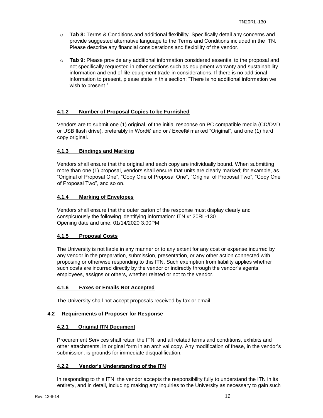- o **Tab 8:** Terms & Conditions and additional flexibility. Specifically detail any concerns and provide suggested alternative language to the Terms and Conditions included in the ITN. Please describe any financial considerations and flexibility of the vendor.
- o **Tab 9:** Please provide any additional information considered essential to the proposal and not specifically requested in other sections such as equipment warranty and sustainability information and end of life equipment trade-in considerations. If there is no additional information to present, please state in this section: "There is no additional information we wish to present."

## <span id="page-15-0"></span>**4.1.2 Number of Proposal Copies to be Furnished**

Vendors are to submit one (1) original, of the initial response on PC compatible media (CD/DVD or USB flash drive), preferably in Word® and or / Excel® marked "Original", and one (1) hard copy original.

## <span id="page-15-1"></span>**4.1.3 Bindings and Marking**

Vendors shall ensure that the original and each copy are individually bound. When submitting more than one (1) proposal, vendors shall ensure that units are clearly marked; for example, as "Original of Proposal One", "Copy One of Proposal One", "Original of Proposal Two", "Copy One of Proposal Two", and so on.

## <span id="page-15-2"></span>**4.1.4 Marking of Envelopes**

Vendors shall ensure that the outer carton of the response must display clearly and conspicuously the following identifying information: ITN #: 20RL-130 Opening date and time: 01/14/2020 3:00PM

#### <span id="page-15-3"></span>**4.1.5 Proposal Costs**

The University is not liable in any manner or to any extent for any cost or expense incurred by any vendor in the preparation, submission, presentation, or any other action connected with proposing or otherwise responding to this ITN. Such exemption from liability applies whether such costs are incurred directly by the vendor or indirectly through the vendor's agents, employees, assigns or others, whether related or not to the vendor.

## <span id="page-15-4"></span>**4.1.6 Faxes or Emails Not Accepted**

The University shall not accept proposals received by fax or email.

#### <span id="page-15-5"></span>**4.2 Requirements of Proposer for Response**

#### <span id="page-15-6"></span>**4.2.1 Original ITN Document**

Procurement Services shall retain the ITN, and all related terms and conditions, exhibits and other attachments, in original form in an archival copy. Any modification of these, in the vendor's submission, is grounds for immediate disqualification.

#### <span id="page-15-7"></span>**4.2.2 Vendor's Understanding of the ITN**

In responding to this ITN, the vendor accepts the responsibility fully to understand the ITN in its entirety, and in detail, including making any inquiries to the University as necessary to gain such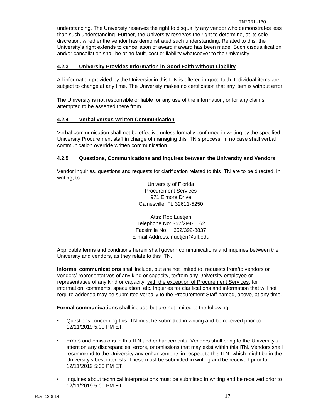understanding. The University reserves the right to disqualify any vendor who demonstrates less than such understanding. Further, the University reserves the right to determine, at its sole discretion, whether the vendor has demonstrated such understanding. Related to this, the University's right extends to cancellation of award if award has been made. Such disqualification and/or cancellation shall be at no fault, cost or liability whatsoever to the University.

## <span id="page-16-0"></span>**4.2.3 University Provides Information in Good Faith without Liability**

All information provided by the University in this ITN is offered in good faith. Individual items are subject to change at any time. The University makes no certification that any item is without error.

The University is not responsible or liable for any use of the information, or for any claims attempted to be asserted there from.

## <span id="page-16-1"></span>**4.2.4 Verbal versus Written Communication**

Verbal communication shall not be effective unless formally confirmed in writing by the specified University Procurement staff in charge of managing this ITN's process. In no case shall verbal communication override written communication.

## <span id="page-16-2"></span>**4.2.5 Questions, Communications and Inquires between the University and Vendors**

Vendor inquiries, questions and requests for clarification related to this ITN are to be directed, in writing, to:

> University of Florida Procurement Services 971 Elmore Drive Gainesville, FL 32611-5250

Attn: Rob Luetjen Telephone No: 352/294-1162 Facsimile No: 352/392-8837 E-mail Address: rluetjen@ufl.edu

Applicable terms and conditions herein shall govern communications and inquiries between the University and vendors, as they relate to this ITN.

**Informal communications** shall include, but are not limited to, requests from/to vendors or vendors' representatives of any kind or capacity, to/from any University employee or representative of any kind or capacity, with the exception of Procurement Services, for information, comments, speculation, etc. Inquiries for clarifications and information that will not require addenda may be submitted verbally to the Procurement Staff named, above, at any time.

**Formal communications** shall include but are not limited to the following.

- Questions concerning this ITN must be submitted in writing and be received prior to 12/11/2019 5:00 PM ET.
- Errors and omissions in this ITN and enhancements. Vendors shall bring to the University's attention any discrepancies, errors, or omissions that may exist within this ITN. Vendors shall recommend to the University any enhancements in respect to this ITN, which might be in the University's best interests. These must be submitted in writing and be received prior to 12/11/2019 5:00 PM ET.
- Inquiries about technical interpretations must be submitted in writing and be received prior to 12/11/2019 5:00 PM ET.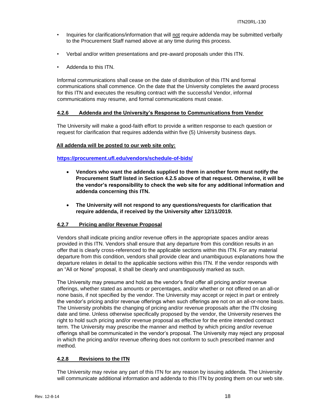- Inquiries for clarifications/information that will not require addenda may be submitted verbally to the Procurement Staff named above at any time during this process.
- Verbal and/or written presentations and pre-award proposals under this ITN.
- Addenda to this ITN.

Informal communications shall cease on the date of distribution of this ITN and formal communications shall commence. On the date that the University completes the award process for this ITN and executes the resulting contract with the successful Vendor, informal communications may resume, and formal communications must cease.

## <span id="page-17-0"></span>**4.2.6 Addenda and the University's Response to Communications from Vendor**

The University will make a good-faith effort to provide a written response to each question or request for clarification that requires addenda within five (5) University business days.

## **All addenda will be posted to our web site only:**

**<https://procurement.ufl.edu/vendors/schedule-of-bids/>**

- **Vendors who want the addenda supplied to them in another form must notify the Procurement Staff listed in Section 4.2.5 above of that request. Otherwise, it will be the vendor's responsibility to check the web site for any additional information and addenda concerning this ITN.**
- **The University will not respond to any questions/requests for clarification that require addenda, if received by the University after 12/11/2019.**

#### <span id="page-17-1"></span>**4.2.7 Pricing and/or Revenue Proposal**

Vendors shall indicate pricing and/or revenue offers in the appropriate spaces and/or areas provided in this ITN. Vendors shall ensure that any departure from this condition results in an offer that is clearly cross-referenced to the applicable sections within this ITN. For any material departure from this condition, vendors shall provide clear and unambiguous explanations how the departure relates in detail to the applicable sections within this ITN. If the vendor responds with an "All or None" proposal, it shall be clearly and unambiguously marked as such.

The University may presume and hold as the vendor's final offer all pricing and/or revenue offerings, whether stated as amounts or percentages, and/or whether or not offered on an all-or none basis, if not specified by the vendor. The University may accept or reject in part or entirely the vendor's pricing and/or revenue offerings when such offerings are not on an all-or-none basis. The University prohibits the changing of pricing and/or revenue proposals after the ITN closing date and time. Unless otherwise specifically proposed by the vendor, the University reserves the right to hold such pricing and/or revenue proposal as effective for the entire intended contract term. The University may prescribe the manner and method by which pricing and/or revenue offerings shall be communicated in the vendor's proposal. The University may reject any proposal in which the pricing and/or revenue offering does not conform to such prescribed manner and method.

## <span id="page-17-2"></span>**4.2.8 Revisions to the ITN**

The University may revise any part of this ITN for any reason by issuing addenda. The University will communicate additional information and addenda to this ITN by posting them on our web site.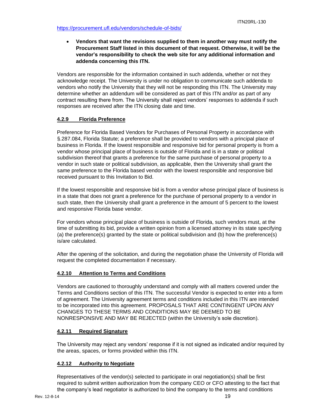• **Vendors that want the revisions supplied to them in another way must notify the Procurement Staff listed in this document of that request. Otherwise, it will be the vendor's responsibility to check the web site for any additional information and addenda concerning this ITN.** 

Vendors are responsible for the information contained in such addenda, whether or not they acknowledge receipt. The University is under no obligation to communicate such addenda to vendors who notify the University that they will not be responding this ITN. The University may determine whether an addendum will be considered as part of this ITN and/or as part of any contract resulting there from. The University shall reject vendors' responses to addenda if such responses are received after the ITN closing date and time.

## <span id="page-18-0"></span>**4.2.9 Florida Preference**

Preference for Florida Based Vendors for Purchases of Personal Property in accordance with §.287.084, Florida Statute; a preference shall be provided to vendors with a principal place of business in Florida. If the lowest responsible and responsive bid for personal property is from a vendor whose principal place of business is outside of Florida and is in a state or political subdivision thereof that grants a preference for the same purchase of personal property to a vendor in such state or political subdivision, as applicable, then the University shall grant the same preference to the Florida based vendor with the lowest responsible and responsive bid received pursuant to this Invitation to Bid.

If the lowest responsible and responsive bid is from a vendor whose principal place of business is in a state that does not grant a preference for the purchase of personal property to a vendor in such state, then the University shall grant a preference in the amount of 5 percent to the lowest and responsive Florida base vendor.

For vendors whose principal place of business is outside of Florida, such vendors must, at the time of submitting its bid, provide a written opinion from a licensed attorney in its state specifying (a) the preference(s) granted by the state or political subdivision and (b) how the preference(s) is/are calculated.

After the opening of the solicitation, and during the negotiation phase the University of Florida will request the completed documentation if necessary.

## <span id="page-18-1"></span>**4.2.10 Attention to Terms and Conditions**

Vendors are cautioned to thoroughly understand and comply with all matters covered under the Terms and Conditions section of this ITN. The successful Vendor is expected to enter into a form of agreement. The University agreement terms and conditions included in this ITN are intended to be incorporated into this agreement. PROPOSALS THAT ARE CONTINGENT UPON ANY CHANGES TO THESE TERMS AND CONDITIONS MAY BE DEEMED TO BE NONRESPONSIVE AND MAY BE REJECTED (within the University's sole discretion).

## <span id="page-18-2"></span>**4.2.11 Required Signature**

The University may reject any vendors' response if it is not signed as indicated and/or required by the areas, spaces, or forms provided within this ITN.

## <span id="page-18-3"></span>**4.2.12 Authority to Negotiate**

Representatives of the vendor(s) selected to participate in oral negotiation(s) shall be first required to submit written authorization from the company CEO or CFO attesting to the fact that the company's lead negotiator is authorized to bind the company to the terms and conditions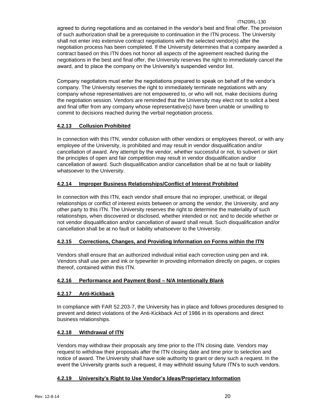ITN20RL-130 agreed to during negotiations and as contained in the vendor's best and final offer. The provision of such authorization shall be a prerequisite to continuation in the ITN process. The University shall not enter into extensive contract negotiations with the selected vendor(s) after the negotiation process has been completed. If the University determines that a company awarded a contract based on this ITN does not honor all aspects of the agreement reached during the negotiations in the best and final offer, the University reserves the right to immediately cancel the award, and to place the company on the University's suspended vendor list.

Company negotiators must enter the negotiations prepared to speak on behalf of the vendor's company. The University reserves the right to immediately terminate negotiations with any company whose representatives are not empowered to, or who will not, make decisions during the negotiation session. Vendors are reminded that the University may elect not to solicit a best and final offer from any company whose representative(s) have been unable or unwilling to commit to decisions reached during the verbal negotiation process.

## <span id="page-19-0"></span>**4.2.13 Collusion Prohibited**

In connection with this ITN, vendor collusion with other vendors or employees thereof, or with any employee of the University, is prohibited and may result in vendor disqualification and/or cancellation of award. Any attempt by the vendor, whether successful or not, to subvert or skirt the principles of open and fair competition may result in vendor disqualification and/or cancellation of award. Such disqualification and/or cancellation shall be at no fault or liability whatsoever to the University.

## <span id="page-19-1"></span>**4.2.14 Improper Business Relationships/Conflict of Interest Prohibited**

In connection with this ITN, each vendor shall ensure that no improper, unethical, or illegal relationships or conflict of interest exists between or among the vendor, the University, and any other party to this ITN. The University reserves the right to determine the materiality of such relationships, when discovered or disclosed, whether intended or not; and to decide whether or not vendor disqualification and/or cancellation of award shall result. Such disqualification and/or cancellation shall be at no fault or liability whatsoever to the University.

## <span id="page-19-2"></span>**4.2.15 Corrections, Changes, and Providing Information on Forms within the ITN**

Vendors shall ensure that an authorized individual initial each correction using pen and ink. Vendors shall use pen and ink or typewriter in providing information directly on pages, or copies thereof, contained within this ITN.

## <span id="page-19-3"></span>**4.2.16 Performance and Payment Bond – N/A Intentionally Blank**

## <span id="page-19-4"></span>**4.2.17 Anti-Kickback**

In compliance with FAR 52.203-7, the University has in place and follows procedures designed to prevent and detect violations of the Anti-Kickback Act of 1986 in its operations and direct business relationships.

## <span id="page-19-5"></span>**4.2.18 Withdrawal of ITN**

Vendors may withdraw their proposals any time prior to the ITN closing date. Vendors may request to withdraw their proposals after the ITN closing date and time prior to selection and notice of award. The University shall have sole authority to grant or deny such a request. In the event the University grants such a request, it may withhold issuing future ITN's to such vendors.

## <span id="page-19-6"></span>**4.2.19 University's Right to Use Vendor's Ideas/Proprietary Information**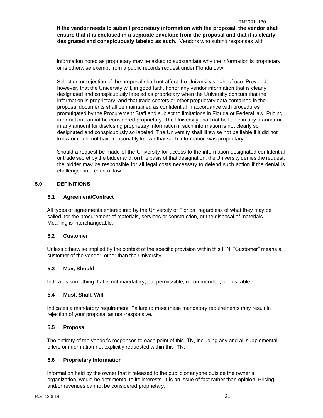**If the vendor needs to submit proprietary information with the proposal, the vendor shall ensure that it is enclosed in a separate envelope from the proposal and that it is clearly designated and conspicuously labeled as such.** Vendors who submit responses with

information noted as proprietary may be asked to substantiate why the information is proprietary or is otherwise exempt from a public records request under Florida Law.

Selection or rejection of the proposal shall not affect the University's right of use. Provided, however, that the University will, in good faith, honor any vendor information that is clearly designated and conspicuously labeled as proprietary when the University concurs that the information is proprietary, and that trade secrets or other proprietary data contained in the proposal documents shall be maintained as confidential in accordance with procedures promulgated by the Procurement Staff and subject to limitations in Florida or Federal law. Pricing information cannot be considered proprietary. The University shall not be liable in any manner or in any amount for disclosing proprietary information if such information is not clearly so designated and conspicuously so labeled. The University shall likewise not be liable if it did not know or could not have reasonably known that such information was proprietary.

Should a request be made of the University for access to the information designated confidential or trade secret by the bidder and, on the basis of that designation, the University denies the request, the bidder may be responsible for all legal costs necessary to defend such action if the denial is challenged in a court of law.

## <span id="page-20-0"></span>**5.0 DEFINITIONS**

## <span id="page-20-1"></span>**5.1 Agreement/Contract**

All types of agreements entered into by the University of Florida, regardless of what they may be called, for the procurement of materials, services or construction, or the disposal of materials. Meaning is interchangeable.

#### <span id="page-20-2"></span>**5.2 Customer**

Unless otherwise implied by the context of the specific provision within this ITN, "Customer" means a customer of the vendor, other than the University.

## <span id="page-20-3"></span>**5.3 May, Should**

Indicates something that is not mandatory, but permissible, recommended, or desirable.

#### <span id="page-20-4"></span>**5.4 Must, Shall, Will**

Indicates a mandatory requirement. Failure to meet these mandatory requirements may result in rejection of your proposal as non-responsive.

#### <span id="page-20-5"></span>**5.5 Proposal**

The entirety of the vendor's responses to each point of this ITN, including any and all supplemental offers or information not explicitly requested within this ITN.

## <span id="page-20-6"></span>**5.6 Proprietary Information**

Information held by the owner that if released to the public or anyone outside the owner's organization, would be detrimental to its interests. It is an issue of fact rather than opinion. Pricing and/or revenues cannot be considered proprietary.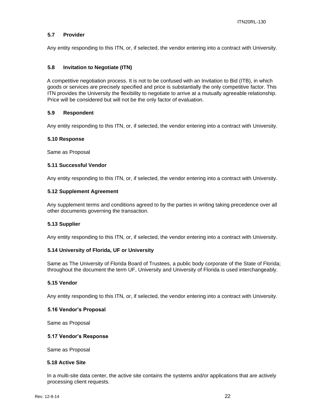#### <span id="page-21-0"></span>**5.7 Provider**

Any entity responding to this ITN, or, if selected, the vendor entering into a contract with University.

#### <span id="page-21-1"></span>**5.8 Invitation to Negotiate (ITN)**

A competitive negotiation process. It is not to be confused with an Invitation to Bid (ITB), in which goods or services are precisely specified and price is substantially the only competitive factor. This ITN provides the University the flexibility to negotiate to arrive at a mutually agreeable relationship. Price will be considered but will not be the only factor of evaluation.

#### <span id="page-21-2"></span>**5.9 Respondent**

Any entity responding to this ITN, or, if selected, the vendor entering into a contract with University.

#### <span id="page-21-3"></span>**5.10 Response**

Same as Proposal

## <span id="page-21-4"></span>**5.11 Successful Vendor**

Any entity responding to this ITN, or, if selected, the vendor entering into a contract with University.

#### <span id="page-21-5"></span>**5.12 Supplement Agreement**

Any supplement terms and conditions agreed to by the parties in writing taking precedence over all other documents governing the transaction.

#### <span id="page-21-6"></span>**5.13 Supplier**

Any entity responding to this ITN, or, if selected, the vendor entering into a contract with University.

#### <span id="page-21-7"></span>**5.14 University of Florida, UF or University**

Same as The University of Florida Board of Trustees, a public body corporate of the State of Florida; throughout the document the term UF, University and University of Florida is used interchangeably.

#### <span id="page-21-8"></span>**5.15 Vendor**

Any entity responding to this ITN, or, if selected, the vendor entering into a contract with University.

#### <span id="page-21-9"></span>**5.16 Vendor's Proposal**

Same as Proposal

#### <span id="page-21-10"></span>**5.17 Vendor's Response**

Same as Proposal

## **5.18 Active Site**

In a multi-site data center, the active site contains the systems and/or applications that are actively processing client requests.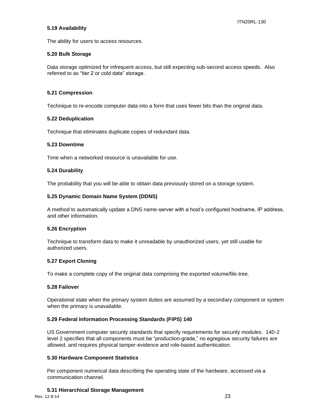#### **5.19 Availability**

The ability for users to access resources.

## **5.20 Bulk Storage**

Data storage optimized for infrequent access, but still expecting sub-second access speeds. Also referred to as "tier 2 or cold data" storage.

## **5.21 Compression**

Technique to re-encode computer data into a form that uses fewer bits than the original data.

## **5.22 Deduplication**

Technique that eliminates duplicate copies of redundant data.

#### **5.23 Downtime**

Time when a networked resource is unavailable for use.

## **5.24 Durability**

The probability that you will be able to obtain data previously stored on a storage system.

## **5.25 Dynamic Domain Name System (DDNS)**

A method to automatically update a DNS name-server with a host's configured hostname, IP address, and other information.

#### **5.26 Encryption**

Technique to transform data to make it unreadable by unauthorized users, yet still usable for authorized users.

#### **5.27 Export Cloning**

To make a complete copy of the original data comprising the exported volume/file-tree.

#### **5.28 Failover**

Operational state when the primary system duties are assumed by a secondary component or system when the primary is unavailable.

## **5.29 Federal Information Processing Standards (FIPS) 140**

US Government computer security standards that specify requirements for security modules. 140-2 level 2 specifies that all components must be "production-grade," no egregious security failures are allowed, and requires physical tamper-evidence and role-based authentication.

#### **5.30 Hardware Component Statistics**

Per component numerical data describing the operating state of the hardware, accessed via a communication channel.

## **5.31 Hierarchical Storage Management**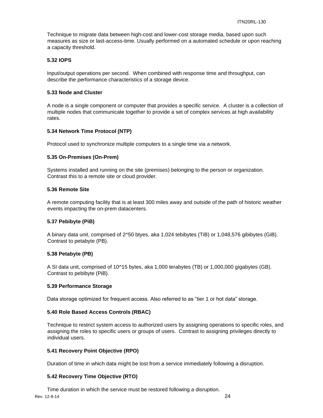Technique to migrate data between high-cost and lower-cost storage media, based upon such measures as size or last-access-time. Usually performed on a automated schedule or upon reaching a capacity threshold.

#### **5.32 IOPS**

Input/output operations per second. When combined with response time and throughput, can describe the performance characteristics of a storage device.

#### **5.33 Node and Cluster**

A node is a single component or computer that provides a specific service. A cluster is a collection of multiple nodes that communicate together to provide a set of complex services at high availability rates.

#### **5.34 Network Time Protocol (NTP)**

Protocol used to synchronize multiple computers to a single time via a network.

#### **5.35 On-Premises (On-Prem)**

Systems installed and running on the site (premises) belonging to the person or organization. Contrast this to a remote site or cloud provider.

#### **5.36 Remote Site**

A remote computing facility that is at least 300 miles away and outside of the path of historic weather events impacting the on-prem datacenters.

#### **5.37 Pebibyte (PiB)**

A binary data unit, comprised of 2^50 btyes, aka 1,024 tebibytes (TiB) or 1,048,576 gibibytes (GiB). Contrast to petabyte (PB).

#### **5.38 Petabyte (PB)**

A SI data unit, comprised of 10^15 bytes, aka 1,000 terabytes (TB) or 1,000,000 gigabytes (GB). Contrast to pebibyte (PiB).

#### **5.39 Performance Storage**

Data storage optimized for frequent access. Also referred to as "tier 1 or hot data" storage.

#### **5.40 Role Based Access Controls (RBAC)**

Technique to restrict system access to authorized users by assigning operations to specific roles, and assigning the roles to specific users or groups of users. Contrast to assigning privileges directly to individual users.

#### **5.41 Recovery Point Objective (RPO)**

Duration of time in which data might be lost from a service immediately following a disruption.

#### **5.42 Recovery Time Objective (RTO)**

Time duration in which the service must be restored following a disruption.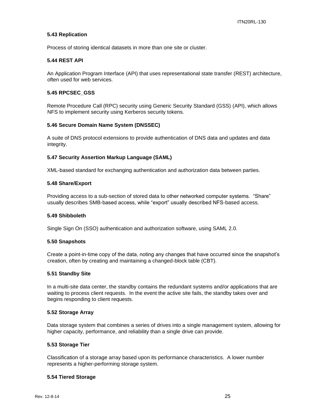#### **5.43 Replication**

Process of storing identical datasets in more than one site or cluster.

#### **5.44 REST API**

An Application Program Interface (API) that uses representational state transfer (REST) architecture, often used for web services.

#### **5.45 RPCSEC\_GSS**

Remote Procedure Call (RPC) security using Generic Security Standard (GSS) (API), which allows NFS to implement security using Kerberos security tokens.

#### **5.46 Secure Domain Name System (DNSSEC)**

A suite of DNS protocol extensions to provide authentication of DNS data and updates and data integrity.

#### **5.47 Security Assertion Markup Language (SAML)**

XML-based standard for exchanging authentication and authorization data between parties.

#### **5.48 Share/Export**

Providing access to a sub-section of stored data to other networked computer systems. "Share" usually describes SMB-based access, while "export" usually described NFS-based access.

#### **5.49 Shibboleth**

Single Sign On (SSO) authentication and authorization software, using SAML 2.0.

#### **5.50 Snapshots**

Create a point-in-time copy of the data, noting any changes that have occurred since the snapshot's creation, often by creating and maintaining a changed-block table (CBT).

#### **5.51 Standby Site**

In a multi-site data center, the standby contains the redundant systems and/or applications that are waiting to process client requests. In the event the active site fails, the standby takes over and begins responding to client requests.

#### **5.52 Storage Array**

Data storage system that combines a series of drives into a single management system, allowing for higher capacity, performance, and reliability than a single drive can provide.

#### **5.53 Storage Tier**

Classification of a storage array based upon its performance characteristics. A lower number represents a higher-performing storage system.

#### **5.54 Tiered Storage**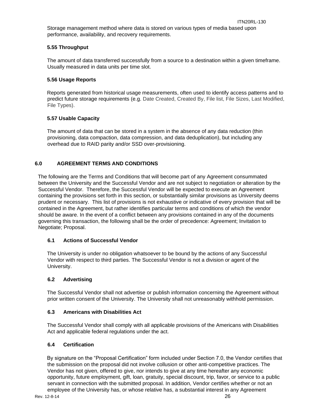Storage management method where data is stored on various types of media based upon performance, availability, and recovery requirements.

## **5.55 Throughput**

The amount of data transferred successfully from a source to a destination within a given timeframe. Usually measured in data units per time slot.

## **5.56 Usage Reports**

Reports generated from historical usage measurements, often used to identify access patterns and to predict future storage requirements (e.g. Date Created, Created By, File list, File Sizes, Last Modified, File Types).

## **5.57 Usable Capacity**

The amount of data that can be stored in a system in the absence of any data reduction (thin provisioning, data compaction, data compression, and data deduplication), but including any overhead due to RAID parity and/or SSD over-provisioning.

## <span id="page-25-0"></span>**6.0 AGREEMENT TERMS AND CONDITIONS**

The following are the Terms and Conditions that will become part of any Agreement consummated between the University and the Successful Vendor and are not subject to negotiation or alteration by the Successful Vendor. Therefore, the Successful Vendor will be expected to execute an Agreement containing the provisions set forth in this section, or substantially similar provisions as University deems prudent or necessary. This list of provisions is not exhaustive or indicative of every provision that will be contained in the Agreement, but rather identifies particular terms and conditions of which the vendor should be aware. In the event of a conflict between any provisions contained in any of the documents governing this transaction, the following shall be the order of precedence: Agreement; Invitation to Negotiate; Proposal.

## <span id="page-25-1"></span>**6.1 Actions of Successful Vendor**

The University is under no obligation whatsoever to be bound by the actions of any Successful Vendor with respect to third parties. The Successful Vendor is not a division or agent of the University.

## <span id="page-25-2"></span>**6.2 Advertising**

The Successful Vendor shall not advertise or publish information concerning the Agreement without prior written consent of the University. The University shall not unreasonably withhold permission.

#### <span id="page-25-3"></span>**6.3 Americans with Disabilities Act**

The Successful Vendor shall comply with all applicable provisions of the Americans with Disabilities Act and applicable federal regulations under the act.

## <span id="page-25-4"></span>**6.4 Certification**

By signature on the "Proposal Certification" form included under Section 7.0, the Vendor certifies that the submission on the proposal did not involve collusion or other anti-competitive practices. The Vendor has not given, offered to give, nor intends to give at any time hereafter any economic opportunity, future employment, gift, loan, gratuity, special discount, trip, favor, or service to a public servant in connection with the submitted proposal. In addition, Vendor certifies whether or not an employee of the University has, or whose relative has, a substantial interest in any Agreement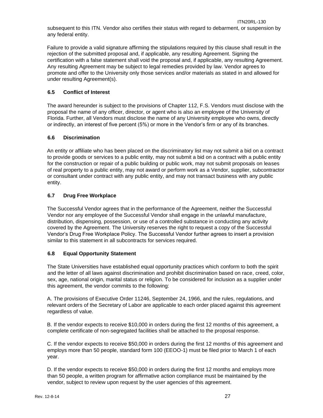Failure to provide a valid signature affirming the stipulations required by this clause shall result in the rejection of the submitted proposal and, if applicable, any resulting Agreement. Signing the certification with a false statement shall void the proposal and, if applicable, any resulting Agreement. Any resulting Agreement may be subject to legal remedies provided by law. Vendor agrees to promote and offer to the University only those services and/or materials as stated in and allowed for under resulting Agreement(s).

## <span id="page-26-0"></span>**6.5 Conflict of Interest**

The award hereunder is subject to the provisions of Chapter 112, F.S. Vendors must disclose with the proposal the name of any officer, director, or agent who is also an employee of the University of Florida. Further, all Vendors must disclose the name of any University employee who owns, directly or indirectly, an interest of five percent (5%) or more in the Vendor's firm or any of its branches.

## <span id="page-26-1"></span>**6.6 Discrimination**

An entity or affiliate who has been placed on the discriminatory list may not submit a bid on a contract to provide goods or services to a public entity, may not submit a bid on a contract with a public entity for the construction or repair of a public building or public work, may not submit proposals on leases of real property to a public entity, may not award or perform work as a Vendor, supplier, subcontractor or consultant under contract with any public entity, and may not transact business with any public entity.

## <span id="page-26-2"></span>**6.7 Drug Free Workplace**

The Successful Vendor agrees that in the performance of the Agreement, neither the Successful Vendor nor any employee of the Successful Vendor shall engage in the unlawful manufacture, distribution, dispensing, possession, or use of a controlled substance in conducting any activity covered by the Agreement. The University reserves the right to request a copy of the Successful Vendor's Drug Free Workplace Policy. The Successful Vendor further agrees to insert a provision similar to this statement in all subcontracts for services required.

## <span id="page-26-3"></span>**6.8 Equal Opportunity Statement**

The State Universities have established equal opportunity practices which conform to both the spirit and the letter of all laws against discrimination and prohibit discrimination based on race, creed, color, sex, age, national origin, marital status or religion. To be considered for inclusion as a supplier under this agreement, the vendor commits to the following:

A. The provisions of Executive Order 11246, September 24, 1966, and the rules, regulations, and relevant orders of the Secretary of Labor are applicable to each order placed against this agreement regardless of value.

B. If the vendor expects to receive \$10,000 in orders during the first 12 months of this agreement, a complete certificate of non-segregated facilities shall be attached to the proposal response.

C. If the vendor expects to receive \$50,000 in orders during the first 12 months of this agreement and employs more than 50 people, standard form 100 (EEOO-1) must be filed prior to March 1 of each year.

D. If the vendor expects to receive \$50,000 in orders during the first 12 months and employs more than 50 people, a written program for affirmative action compliance must be maintained by the vendor, subject to review upon request by the user agencies of this agreement.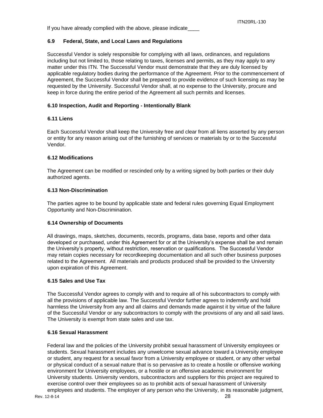## <span id="page-27-0"></span>**6.9 Federal, State, and Local Laws and Regulations**

Successful Vendor is solely responsible for complying with all laws, ordinances, and regulations including but not limited to, those relating to taxes, licenses and permits, as they may apply to any matter under this ITN. The Successful Vendor must demonstrate that they are duly licensed by applicable regulatory bodies during the performance of the Agreement. Prior to the commencement of Agreement, the Successful Vendor shall be prepared to provide evidence of such licensing as may be requested by the University. Successful Vendor shall, at no expense to the University, procure and keep in force during the entire period of the Agreement all such permits and licenses.

## <span id="page-27-1"></span>**6.10 Inspection, Audit and Reporting - Intentionally Blank**

## <span id="page-27-2"></span>**6.11 Liens**

Each Successful Vendor shall keep the University free and clear from all liens asserted by any person or entity for any reason arising out of the furnishing of services or materials by or to the Successful Vendor.

## <span id="page-27-3"></span>**6.12 Modifications**

The Agreement can be modified or rescinded only by a writing signed by both parties or their duly authorized agents.

## <span id="page-27-4"></span>**6.13 Non-Discrimination**

The parties agree to be bound by applicable state and federal rules governing Equal Employment Opportunity and Non-Discrimination.

#### <span id="page-27-5"></span>**6.14 Ownership of Documents**

All drawings, maps, sketches, documents, records, programs, data base, reports and other data developed or purchased, under this Agreement for or at the University's expense shall be and remain the University's property, without restriction, reservation or qualifications. The Successful Vendor may retain copies necessary for recordkeeping documentation and all such other business purposes related to the Agreement. All materials and products produced shall be provided to the University upon expiration of this Agreement.

#### <span id="page-27-6"></span>**6.15 Sales and Use Tax**

The Successful Vendor agrees to comply with and to require all of his subcontractors to comply with all the provisions of applicable law. The Successful Vendor further agrees to indemnify and hold harmless the University from any and all claims and demands made against it by virtue of the failure of the Successful Vendor or any subcontractors to comply with the provisions of any and all said laws. The University is exempt from state sales and use tax.

## <span id="page-27-7"></span>**6.16 Sexual Harassment**

Federal law and the policies of the University prohibit sexual harassment of University employees or students. Sexual harassment includes any unwelcome sexual advance toward a University employee or student, any request for a sexual favor from a University employee or student, or any other verbal or physical conduct of a sexual nature that is so pervasive as to create a hostile or offensive working environment for University employees, or a hostile or an offensive academic environment for University students. University vendors, subcontractors and suppliers for this project are required to exercise control over their employees so as to prohibit acts of sexual harassment of University employees and students. The employer of any person who the University, in its reasonable judgment,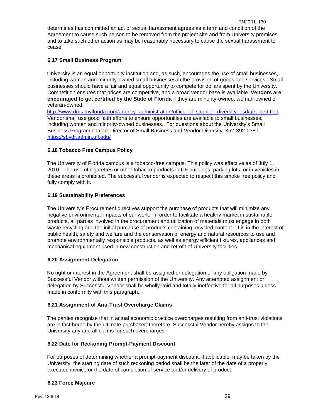## <span id="page-28-0"></span>**6.17 Small Business Program**

University is an equal opportunity institution and, as such, encourages the use of small businesses, including women and minority-owned small businesses in the provision of goods and services. Small businesses should have a fair and equal opportunity to compete for dollars spent by the University. Competition ensures that prices are competitive, and a broad vendor base is available. **Vendors are encouraged to get certified by the State of Florida** if they are minority-owned, woman-owned or veteran-owned:

[http://www.dms.myflorida.com/agency\\_administration/office\\_of\\_supplier\\_diversity\\_osd/get\\_certified](http://www.dms.myflorida.com/agency_administration/office_of_supplier_diversity_osd/get_certified) Vendor shall use good faith efforts to ensure opportunities are available to small businesses, including women and minority-owned businesses. For questions about the University's Small Business Program contact Director of Small Business and Vendor Diversity, 352-392-0380, <https://sbvdr.admin.ufl.edu/>

## <span id="page-28-1"></span>**6.18 Tobacco Free Campus Policy**

The University of Florida campus is a tobacco-free campus. This policy was effective as of July 1, 2010. The use of cigarettes or other tobacco products in UF buildings, parking lots, or in vehicles in these areas is prohibited. The successful vendor is expected to respect this smoke free policy and fully comply with it.

## <span id="page-28-2"></span>**6.19 Sustainability Preferences**

The University's Procurement directives support the purchase of products that will minimize any negative environmental impacts of our work. In order to facilitate a healthy market in sustainable products, all parties involved in the procurement and utilization of materials must engage in both waste recycling and the initial purchase of products containing recycled content. It is in the interest of public health, safety and welfare and the conservation of energy and natural resources to use and promote environmentally responsible products, as well as energy efficient fixtures, appliances and mechanical equipment used in new construction and retrofit of University facilities.

## <span id="page-28-3"></span>**6.20 Assignment-Delegation**

No right or interest in the Agreement shall be assigned or delegation of any obligation made by Successful Vendor without written permission of the University. Any attempted assignment or delegation by Successful Vendor shall be wholly void and totally ineffective for all purposes unless made in conformity with this paragraph.

## <span id="page-28-4"></span>**6.21 Assignment of Anti-Trust Overcharge Claims**

The parties recognize that in actual economic practice overcharges resulting from anti-trust violations are in fact borne by the ultimate purchaser; therefore, Successful Vendor hereby assigns to the University any and all claims for such overcharges.

## <span id="page-28-5"></span>**6.22 Date for Reckoning Prompt-Payment Discount**

For purposes of determining whether a prompt-payment discount, if applicable, may be taken by the University, the starting date of such reckoning period shall be the later of the date of a properly executed invoice or the date of completion of service and/or delivery of product.

## <span id="page-28-6"></span>**6.23 Force Majeure**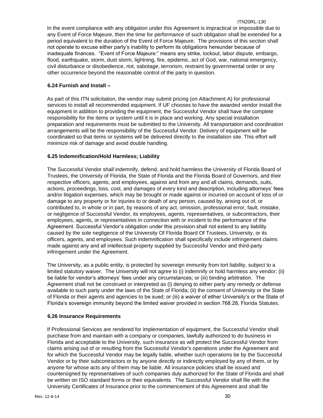In the event compliance with any obligation under this Agreement is impractical or impossible due to any Event of Force Majeure, then the time for performance of such obligation shall be extended for a period equivalent to the duration of the Event of Force Majeure. The provisions of this section shall not operate to excuse either party's inability to perform its obligations hereunder because of inadequate finances. "Event of Force Majeure:" means any strike, lockout, labor dispute, embargo, flood, earthquake, storm, dust storm, lightning, fire, epidemic, act of God, war, national emergency, civil disturbance or disobedience, riot, sabotage, terrorism, restraint by governmental order or any other occurrence beyond the reasonable control of the party in question.

## <span id="page-29-0"></span>**6.24 Furnish and Install –**

As part of this ITN solicitation, the vendor may submit pricing (on Attachment A) for professional services to install all recommended equipment. If UF chooses to have the awarded vendor install the equipment in addition to providing the equipment, the Successful Vendor shall have the complete responsibility for the items or system until it is in place and working. Any special installation preparation and requirements must be submitted to the University. All transportation and coordination arrangements will be the responsibility of the Successful Vendor. Delivery of equipment will be coordinated so that items or systems will be delivered directly to the installation site. This effort will minimize risk of damage and avoid double handling.

## <span id="page-29-1"></span>**6.25 Indemnification/Hold Harmless; Liability**

The Successful Vendor shall indemnify, defend, and hold harmless the University of Florida Board of Trustees, the University of Florida, the State of Florida and the Florida Board of Governors, and their respective officers, agents, and employees, against and from any and all claims, demands, suits, actions, proceedings, loss, cost, and damages of every kind and description, including attorneys' fees and/or litigation expenses, which may be brought or made against or incurred on account of loss of or damage to any property or for injuries to or death of any person, caused by, arising out of, or contributed to, in whole or in part, by reasons of any act, omission, professional error, fault, mistake, or negligence of Successful Vendor, its employees, agents, representatives, or subcontractors, their employees, agents, or representatives in connection with or incident to the performance of the Agreement. Successful Vendor's obligation under this provision shall not extend to any liability caused by the sole negligence of the University Of Florida Board Of Trustees, University, or its officers, agents, and employees. Such indemnification shall specifically include infringement claims made against any and all intellectual property supplied by Successful Vendor and third-party infringement under the Agreement.

The University, as a public entity, is protected by sovereign immunity from tort liability, subject to a limited statutory waiver. The University will not agree to (i) indemnify or hold harmless any vendor; (ii) be liable for vendor's attorneys' fees under any circumstances; or (iii) binding arbitration. The Agreement shall not be construed or interpreted as (i) denying to either party any remedy or defense available to such party under the laws of the State of Florida; (ii) the consent of University or the State of Florida or their agents and agencies to be sued; or (iii) a waiver of either University's or the State of Florida's sovereign immunity beyond the limited waiver provided in section 768.28, Florida Statutes.

#### <span id="page-29-2"></span>**6.26 Insurance Requirements**

If Professional Services are rendered for implementation of equipment, the Successful Vendor shall purchase from and maintain with a company or companies, lawfully authorized to do business in Florida and acceptable to the University, such insurance as will protect the Successful Vendor from claims arising out of or resulting from the Successful Vendor's operations under the Agreement and for which the Successful Vendor may be legally liable, whether such operations be by the Successful Vendor or by their subcontractors or by anyone directly or indirectly employed by any of them, or by anyone for whose acts any of them may be liable. All insurance policies shall be issued and countersigned by representatives of such companies duly authorized for the State of Florida and shall be written on ISO standard forms or their equivalents. The Successful Vendor shall file with the University Certificates of Insurance prior to the commencement of this Agreement and shall file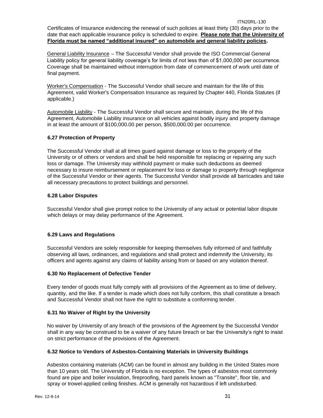ITN20RL-130 Certificates of Insurance evidencing the renewal of such policies at least thirty (30) days prior to the date that each applicable insurance policy is scheduled to expire. **Please note that the University of Florida must be named "additional insured" on automobile and general liability policies.**

General Liability Insurance – The Successful Vendor shall provide the ISO Commercial General Liability policy for general liability coverage's for limits of not less than of \$1,000,000 per occurrence. Coverage shall be maintained without interruption from date of commencement of work until date of final payment.

Worker's Compensation - The Successful Vendor shall secure and maintain for the life of this Agreement, valid Worker's Compensation Insurance as required by Chapter 440, Florida Statutes (if applicable.)

Automobile Liability - The Successful Vendor shall secure and maintain, during the life of this Agreement, Automobile Liability insurance on all vehicles against bodily injury and property damage in at least the amount of \$100,000.00 per person, \$500,000.00 per occurrence.

## <span id="page-30-0"></span>**6.27 Protection of Property**

The Successful Vendor shall at all times guard against damage or loss to the property of the University or of others or vendors and shall be held responsible for replacing or repairing any such loss or damage. The University may withhold payment or make such deductions as deemed necessary to insure reimbursement or replacement for loss or damage to property through negligence of the Successful Vendor or their agents. The Successful Vendor shall provide all barricades and take all necessary precautions to protect buildings and personnel.

#### <span id="page-30-1"></span>**6.28 Labor Disputes**

Successful Vendor shall give prompt notice to the University of any actual or potential labor dispute which delays or may delay performance of the Agreement.

## <span id="page-30-2"></span>**6.29 Laws and Regulations**

Successful Vendors are solely responsible for keeping themselves fully informed of and faithfully observing all laws, ordinances, and regulations and shall protect and indemnify the University, its officers and agents against any claims of liability arising from or based on any violation thereof.

#### <span id="page-30-3"></span>**6.30 No Replacement of Defective Tender**

Every tender of goods must fully comply with all provisions of the Agreement as to time of delivery, quantity, and the like. If a tender is made which does not fully conform, this shall constitute a breach and Successful Vendor shall not have the right to substitute a conforming tender.

#### <span id="page-30-4"></span>**6.31 No Waiver of Right by the University**

No waiver by University of any breach of the provisions of the Agreement by the Successful Vendor shall in any way be construed to be a waiver of any future breach or bar the University's right to insist on strict performance of the provisions of the Agreement.

## <span id="page-30-5"></span>**6.32 Notice to Vendors of Asbestos-Containing Materials in University Buildings**

Asbestos containing materials (ACM) can be found in almost any building in the United States more than 10 years old. The University of Florida is no exception. The types of asbestos most commonly found are pipe and boiler insulation, fireproofing, hard panels known as "Transite", floor tile, and spray or trowel-applied ceiling finishes. ACM is generally not hazardous if left undisturbed.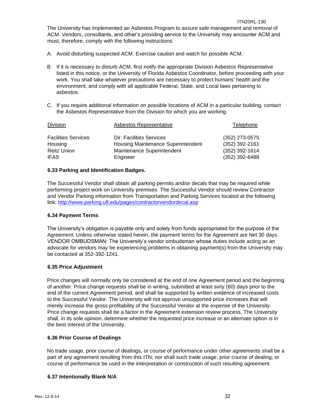- A. Avoid disturbing suspected ACM. Exercise caution and watch for possible ACM.
- B. If it is necessary to disturb ACM, first notify the appropriate Division Asbestos Representative listed in this notice, or the University of Florida Asbestos Coordinator, before proceeding with your work. You shall take whatever precautions are necessary to protect humans' health and the environment, and comply with all applicable Federal, State, and Local laws pertaining to asbestos.
- C. If you require additional information on possible locations of ACM in a particular building, contact the Asbestos Representative from the Division for which you are working.

| <b>Division</b>            | Asbestos Representative                   | Telephone        |
|----------------------------|-------------------------------------------|------------------|
| <b>Facilities Services</b> | Dir. Facilities Services                  | (352) 273-0575   |
| Housing                    | <b>Housing Maintenance Superintendent</b> | (352) 392-2161   |
| <b>Reitz Union</b>         | Maintenance Superintendent                | $(352)$ 392-1614 |
| <b>IFAS</b>                | Engineer                                  | $(352)$ 392-6488 |

## <span id="page-31-0"></span>**6.33 Parking and Identification Badges.**

The Successful Vendor shall obtain all parking permits and/or decals that may be required while performing project work on University premises. The Successful Vendor should review Contractor and Vendor Parking information from Transportation and Parking Services located at the following link:<http://www.parking.ufl.edu/pages/contractorvendordecal.asp>

#### <span id="page-31-1"></span>**6.34 Payment Terms**

The University's obligation is payable only and solely from funds appropriated for the purpose of the Agreement. Unless otherwise stated herein, the payment terms for the Agreement are Net 30 days. VENDOR OMBUDSMAN: The University's vendor ombudsman whose duties include acting as an advocate for vendors may be experiencing problems in obtaining payment(s) from the University may be contacted at 352-392-1241.

## <span id="page-31-2"></span>**6.35 Price Adjustment**

Price changes will normally only be considered at the end of one Agreement period and the beginning of another. Price change requests shall be in writing, submitted at least sixty (60) days prior to the end of the current Agreement period, and shall be supported by written evidence of increased costs to the Successful Vendor. The University will not approve unsupported price increases that will merely increase the gross profitability of the Successful Vendor at the expense of the University. Price change requests shall be a factor in the Agreement extension review process. The University shall, in its sole opinion, determine whether the requested price increase or an alternate option is in the best interest of the University.

## <span id="page-31-3"></span>**6.36 Prior Course of Dealings**

No trade usage, prior course of dealings, or course of performance under other agreements shall be a part of any agreement resulting from this ITN; nor shall such trade usage, prior course of dealing, or course of performance be used in the interpretation or construction of such resulting agreement.

## <span id="page-31-4"></span>**6.37 Intentionally Blank N/A**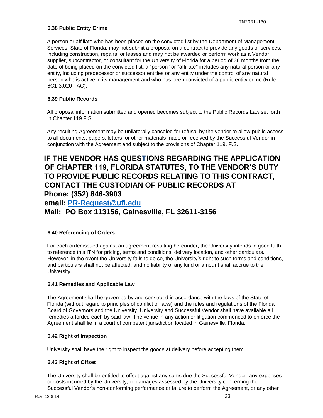## <span id="page-32-0"></span>**6.38 Public Entity Crime**

A person or affiliate who has been placed on the convicted list by the Department of Management Services, State of Florida, may not submit a proposal on a contract to provide any goods or services, including construction, repairs, or leases and may not be awarded or perform work as a Vendor, supplier, subcontractor, or consultant for the University of Florida for a period of 36 months from the date of being placed on the convicted list, a "person" or "affiliate" includes any natural person or any entity, including predecessor or successor entities or any entity under the control of any natural person who is active in its management and who has been convicted of a public entity crime (Rule 6C1-3.020 FAC).

## <span id="page-32-1"></span>**6.39 Public Records**

All proposal information submitted and opened becomes subject to the Public Records Law set forth in Chapter 119 F.S.

Any resulting Agreement may be unilaterally canceled for refusal by the vendor to allow public access to all documents, papers, letters, or other materials made or received by the Successful Vendor in conjunction with the Agreement and subject to the provisions of Chapter 119. F.S.

## **IF THE VENDOR HAS QUESTIONS REGARDING THE APPLICATION OF CHAPTER 119, FLORIDA STATUTES, TO THE VENDOR'S DUTY TO PROVIDE PUBLIC RECORDS RELATING TO THIS CONTRACT, CONTACT THE CUSTODIAN OF PUBLIC RECORDS AT Phone: (352) 846-3903 email: [PR-Request@ufl.edu](mailto:PR-Request@ufl.edu) Mail: PO Box 113156, Gainesville, FL 32611-3156**

## <span id="page-32-2"></span>**6.40 Referencing of Orders**

For each order issued against an agreement resulting hereunder, the University intends in good faith to reference this ITN for pricing, terms and conditions, delivery location, and other particulars. However, in the event the University fails to do so, the University's right to such terms and conditions, and particulars shall not be affected, and no liability of any kind or amount shall accrue to the University.

#### <span id="page-32-3"></span>**6.41 Remedies and Applicable Law**

The Agreement shall be governed by and construed in accordance with the laws of the State of Florida (without regard to principles of conflict of laws) and the rules and regulations of the Florida Board of Governors and the University. University and Successful Vendor shall have available all remedies afforded each by said law. The venue in any action or litigation commenced to enforce the Agreement shall lie in a court of competent jurisdiction located in Gainesville, Florida.

#### <span id="page-32-4"></span>**6.42 Right of Inspection**

University shall have the right to inspect the goods at delivery before accepting them.

#### <span id="page-32-5"></span>**6.43 Right of Offset**

The University shall be entitled to offset against any sums due the Successful Vendor, any expenses or costs incurred by the University, or damages assessed by the University concerning the Successful Vendor's non-conforming performance or failure to perform the Agreement, or any other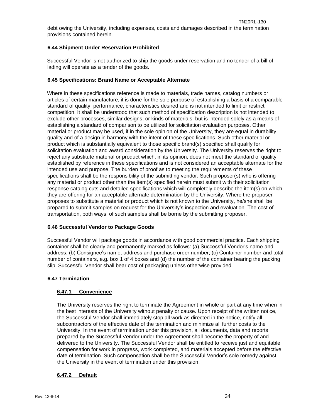debt owing the University, including expenses, costs and damages described in the termination provisions contained herein.

## <span id="page-33-0"></span>**6.44 Shipment Under Reservation Prohibited**

Successful Vendor is not authorized to ship the goods under reservation and no tender of a bill of lading will operate as a tender of the goods.

## <span id="page-33-1"></span>**6.45 Specifications: Brand Name or Acceptable Alternate**

Where in these specifications reference is made to materials, trade names, catalog numbers or articles of certain manufacture, it is done for the sole purpose of establishing a basis of a comparable standard of quality, performance, characteristics desired and is not intended to limit or restrict competition. It shall be understood that such method of specification description is not intended to exclude other processes, similar designs, or kinds of materials, but is intended solely as a means of establishing a standard of comparison to be utilized for solicitation evaluation purposes. Other material or product may be used, if in the sole opinion of the University, they are equal in durability, quality and of a design in harmony with the intent of these specifications. Such other material or product which is substantially equivalent to those specific brand(s) specified shall qualify for solicitation evaluation and award consideration by the University. The University reserves the right to reject any substitute material or product which, in its opinion, does not meet the standard of quality established by reference in these specifications and is not considered an acceptable alternate for the intended use and purpose. The burden of proof as to meeting the requirements of these specifications shall be the responsibility of the submitting vendor. Such proposer(s) who is offering any material or product other than the item(s) specified herein must submit with their solicitation response catalog cuts and detailed specifications which will completely describe the item(s) on which they are offering for an acceptable alternate determination by the University. Where the proposer proposes to substitute a material or product which is not known to the University, he/she shall be prepared to submit samples on request for the University's inspection and evaluation. The cost of transportation, both ways, of such samples shall be borne by the submitting proposer.

## <span id="page-33-2"></span>**6.46 Successful Vendor to Package Goods**

Successful Vendor will package goods in accordance with good commercial practice. Each shipping container shall be clearly and permanently marked as follows: (a) Successful Vendor's name and address; (b) Consignee's name, address and purchase order number; (c) Container number and total number of containers, e.g. box 1 of 4 boxes and (d) the number of the container bearing the packing slip. Successful Vendor shall bear cost of packaging unless otherwise provided.

## <span id="page-33-3"></span>**6.47 Termination**

## <span id="page-33-4"></span>**6.47.1 Convenience**

The University reserves the right to terminate the Agreement in whole or part at any time when in the best interests of the University without penalty or cause. Upon receipt of the written notice, the Successful Vendor shall immediately stop all work as directed in the notice, notify all subcontractors of the effective date of the termination and minimize all further costs to the University. In the event of termination under this provision, all documents, data and reports prepared by the Successful Vendor under the Agreement shall become the property of and delivered to the University. The Successful Vendor shall be entitled to receive just and equitable compensation for work in progress, work completed, and materials accepted before the effective date of termination. Such compensation shall be the Successful Vendor's sole remedy against the University in the event of termination under this provision.

## <span id="page-33-5"></span>**6.47.2 Default**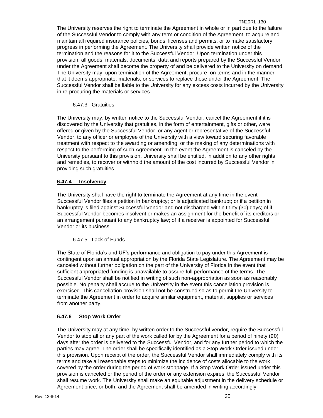#### ITN20RL-130

The University reserves the right to terminate the Agreement in whole or in part due to the failure of the Successful Vendor to comply with any term or condition of the Agreement, to acquire and maintain all required insurance policies, bonds, licenses and permits, or to make satisfactory progress in performing the Agreement. The University shall provide written notice of the termination and the reasons for it to the Successful Vendor. Upon termination under this provision, all goods, materials, documents, data and reports prepared by the Successful Vendor under the Agreement shall become the property of and be delivered to the University on demand. The University may, upon termination of the Agreement, procure, on terms and in the manner that it deems appropriate, materials, or services to replace those under the Agreement. The Successful Vendor shall be liable to the University for any excess costs incurred by the University in re-procuring the materials or services.

## <span id="page-34-0"></span>6.47.3 Gratuities

The University may, by written notice to the Successful Vendor, cancel the Agreement if it is discovered by the University that gratuities, in the form of entertainment, gifts or other, were offered or given by the Successful Vendor, or any agent or representative of the Successful Vendor, to any officer or employee of the University with a view toward securing favorable treatment with respect to the awarding or amending, or the making of any determinations with respect to the performing of such Agreement. In the event the Agreement is canceled by the University pursuant to this provision, University shall be entitled, in addition to any other rights and remedies, to recover or withhold the amount of the cost incurred by Successful Vendor in providing such gratuities.

## <span id="page-34-1"></span>**6.47.4 Insolvency**

The University shall have the right to terminate the Agreement at any time in the event Successful Vendor files a petition in bankruptcy; or is adjudicated bankrupt; or if a petition in bankruptcy is filed against Successful Vendor and not discharged within thirty (30) days; of if Successful Vendor becomes insolvent or makes an assignment for the benefit of its creditors or an arrangement pursuant to any bankruptcy law; of if a receiver is appointed for Successful Vendor or its business.

#### <span id="page-34-2"></span>6.47.5 Lack of Funds

The State of Florida's and UF's performance and obligation to pay under this Agreement is contingent upon an annual appropriation by the Florida State Legislature. The Agreement may be canceled without further obligation on the part of the University of Florida in the event that sufficient appropriated funding is unavailable to assure full performance of the terms. The Successful Vendor shall be notified in writing of such non-appropriation as soon as reasonably possible. No penalty shall accrue to the University in the event this cancellation provision is exercised. This cancellation provision shall not be construed so as to permit the University to terminate the Agreement in order to acquire similar equipment, material, supplies or services from another party.

## <span id="page-34-3"></span>**6.47.6 Stop Work Order**

The University may at any time, by written order to the Successful vendor, require the Successful Vendor to stop all or any part of the work called for by the Agreement for a period of ninety (90) days after the order is delivered to the Successful Vendor, and for any further period to which the parties may agree. The order shall be specifically identified as a Stop Work Order issued under this provision. Upon receipt of the order, the Successful Vendor shall immediately comply with its terms and take all reasonable steps to minimize the incidence of costs allocable to the work covered by the order during the period of work stoppage. If a Stop Work Order issued under this provision is canceled or the period of the order or any extension expires, the Successful Vendor shall resume work. The University shall make an equitable adjustment in the delivery schedule or Agreement price, or both, and the Agreement shall be amended in writing accordingly.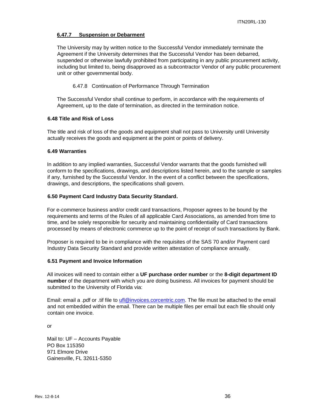#### <span id="page-35-0"></span>**6.47.7 Suspension or Debarment**

The University may by written notice to the Successful Vendor immediately terminate the Agreement if the University determines that the Successful Vendor has been debarred, suspended or otherwise lawfully prohibited from participating in any public procurement activity, including but limited to, being disapproved as a subcontractor Vendor of any public procurement unit or other governmental body.

<span id="page-35-1"></span>6.47.8 Continuation of Performance Through Termination

The Successful Vendor shall continue to perform, in accordance with the requirements of Agreement, up to the date of termination, as directed in the termination notice.

#### <span id="page-35-2"></span>**6.48 Title and Risk of Loss**

The title and risk of loss of the goods and equipment shall not pass to University until University actually receives the goods and equipment at the point or points of delivery.

#### <span id="page-35-3"></span>**6.49 Warranties**

In addition to any implied warranties, Successful Vendor warrants that the goods furnished will conform to the specifications, drawings, and descriptions listed herein, and to the sample or samples if any, furnished by the Successful Vendor. In the event of a conflict between the specifications, drawings, and descriptions, the specifications shall govern.

#### <span id="page-35-4"></span>**6.50 Payment Card Industry Data Security Standard.**

For e-commerce business and/or credit card transactions, Proposer agrees to be bound by the requirements and terms of the Rules of all applicable Card Associations, as amended from time to time, and be solely responsible for security and maintaining confidentiality of Card transactions processed by means of electronic commerce up to the point of receipt of such transactions by Bank.

Proposer is required to be in compliance with the requisites of the SAS 70 and/or Payment card Industry Data Security Standard and provide written attestation of compliance annually.

#### <span id="page-35-5"></span>**6.51 Payment and Invoice Information**

All invoices will need to contain either a **UF purchase order number** or the **8-digit department ID number** of the department with which you are doing business. All invoices for payment should be submitted to the University of Florida via:

Email: email a .pdf or .tif file to ufl@invoices.corcentric.com. The file must be attached to the email and not embedded within the email. There can be multiple files per email but each file should only contain one invoice.

or

Mail to: UF – Accounts Payable PO Box 115350 971 Elmore Drive Gainesville, FL 32611-5350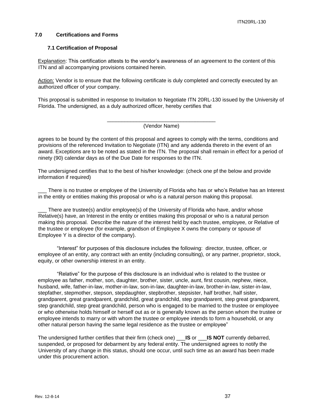#### <span id="page-36-1"></span><span id="page-36-0"></span>**7.0 Certifications and Forms**

## **7.1 Certification of Proposal**

Explanation: This certification attests to the vendor's awareness of an agreement to the content of this ITN and all accompanying provisions contained herein.

Action: Vendor is to ensure that the following certificate is duly completed and correctly executed by an authorized officer of your company.

This proposal is submitted in response to Invitation to Negotiate ITN 20RL-130 issued by the University of Florida. The undersigned, as a duly authorized officer, hereby certifies that

> \_\_\_\_\_\_\_\_\_\_\_\_\_\_\_\_\_\_\_\_\_\_\_\_\_\_\_\_\_\_\_\_\_\_\_\_\_ (Vendor Name)

agrees to be bound by the content of this proposal and agrees to comply with the terms, conditions and provisions of the referenced Invitation to Negotiate (ITN) and any addenda thereto in the event of an award. Exceptions are to be noted as stated in the ITN. The proposal shall remain in effect for a period of ninety (90) calendar days as of the Due Date for responses to the ITN.

The undersigned certifies that to the best of his/her knowledge: (check one pf the below and provide information if required)

There is no trustee or employee of the University of Florida who has or who's Relative has an Interest in the entity or entities making this proposal or who is a natural person making this proposal.

There are trustee(s) and/or employee(s) of the University of Florida who have, and/or whose Relative(s) have, an Interest in the entity or entities making this proposal or who is a natural person making this proposal. Describe the nature of the interest held by each trustee, employee, or Relative of the trustee or employee (for example, grandson of Employee X owns the company or spouse of Employee Y is a director of the company).

"Interest" for purposes of this disclosure includes the following: director, trustee, officer, or employee of an entity, any contract with an entity (including consulting), or any partner, proprietor, stock, equity, or other ownership interest in an entity.

"Relative" for the purpose of this disclosure is an individual who is related to the trustee or employee as father, mother, son, daughter, brother, sister, uncle, aunt, first cousin, nephew, niece, husband, wife, father-in-law, mother-in-law, son-in-law, daughter-in-law, brother-in-law, sister-in-law, stepfather, stepmother, stepson, stepdaughter, stepbrother, stepsister, half brother, half sister, grandparent, great grandparent, grandchild, great grandchild, step grandparent, step great grandparent, step grandchild, step great grandchild, person who is engaged to be married to the trustee or employee or who otherwise holds himself or herself out as or is generally known as the person whom the trustee or employee intends to marry or with whom the trustee or employee intends to form a household, or any other natural person having the same legal residence as the trustee or employee"

The undersigned further certifies that their firm (check one) \_\_\_**IS** or \_\_\_**IS NOT** currently debarred, suspended, or proposed for debarment by any federal entity. The undersigned agrees to notify the University of any change in this status, should one occur, until such time as an award has been made under this procurement action.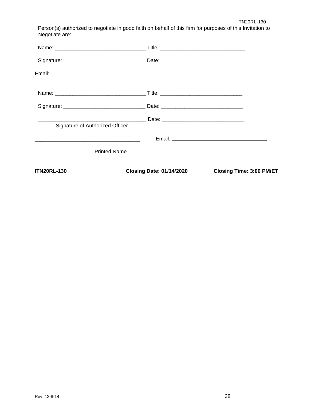ITN20RL-130

Person(s) authorized to negotiate in good faith on behalf of this firm for purposes of this Invitation to Negotiate are:

| <b>ITN20RL-130</b>              | <b>Closing Date: 01/14/2020</b> | <b>Closing Time: 3:00 PM/ET</b> |
|---------------------------------|---------------------------------|---------------------------------|
| <b>Printed Name</b>             |                                 |                                 |
|                                 |                                 |                                 |
| Signature of Authorized Officer |                                 |                                 |
|                                 |                                 |                                 |
|                                 |                                 |                                 |
|                                 |                                 |                                 |
|                                 |                                 |                                 |
|                                 |                                 |                                 |
|                                 |                                 |                                 |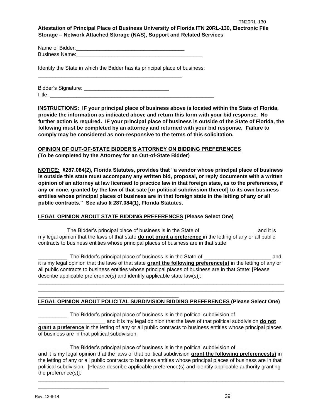## **Attestation of Principal Place of Business University of Florida ITN 20RL-130, Electronic File Storage – Network Attached Storage (NAS), Support and Related Services**

Name of Bidder:\_\_\_\_\_\_\_\_\_\_\_\_\_\_\_\_\_\_\_\_\_\_\_\_\_\_\_\_\_\_\_\_\_\_\_\_\_ Business Name:

Identify the State in which the Bidder has its principal place of business:

\_\_\_\_\_\_\_\_\_\_\_\_\_\_\_\_\_\_\_\_\_\_\_\_\_\_\_\_\_\_\_\_\_\_\_\_\_\_\_\_\_\_\_\_\_\_\_\_\_

Bidder's Signature: **Example 20** Title:  $\frac{1}{\sqrt{1-\frac{1}{2}}\sqrt{1-\frac{1}{2}}\sqrt{1-\frac{1}{2}}\sqrt{1-\frac{1}{2}}\sqrt{1-\frac{1}{2}}$ 

**INSTRUCTIONS: IF your principal place of business above is located within the State of Florida, provide the information as indicated above and return this form with your bid response. No further action is required. IF your principal place of business is outside of the State of Florida, the following must be completed by an attorney and returned with your bid response. Failure to comply may be considered as non-responsive to the terms of this solicitation.** 

## **OPINION OF OUT-OF-STATE BIDDER'S ATTORNEY ON BIDDING PREFERENCES (To be completed by the Attorney for an Out-of-State Bidder)**

**NOTICE: §287.084(2), Florida Statutes, provides that "a vendor whose principal place of business is outside this state must accompany any written bid, proposal, or reply documents with a written opinion of an attorney at law licensed to practice law in that foreign state, as to the preferences, if any or none, granted by the law of that sate [or political subdivision thereof] to its own business entities whose principal places of business are in that foreign state in the letting of any or all public contracts." See also § 287.084(1), Florida Statutes.** 

## **LEGAL OPINION ABOUT STATE BIDDING PREFERENCES (Please Select One)**

\_\_\_\_\_\_\_\_\_\_\_\_\_\_\_\_\_\_\_\_\_\_\_\_\_\_\_\_\_\_\_\_\_\_\_\_\_\_\_\_\_\_\_\_\_\_\_\_

The Bidder's principal place of business is in the State of \_\_\_\_\_\_\_\_\_\_\_\_\_\_\_\_\_\_\_\_ and it is my legal opinion that the laws of that state **do not grant a preference** in the letting of any or all public contracts to business entities whose principal places of business are in that state.

The Bidder's principal place of business is in the State of \_\_\_\_\_\_\_\_\_\_\_\_\_\_\_\_\_\_\_\_ and it is my legal opinion that the laws of that state **grant the following preference(s)** in the letting of any or all public contracts to business entities whose principal places of business are in that State: [Please describe applicable preference(s) and identify applicable state law(s)]:

\_\_\_\_\_\_\_\_\_\_\_\_\_\_\_\_\_\_\_\_\_\_\_\_\_\_\_\_\_\_\_\_\_\_\_\_\_\_\_\_\_\_\_\_\_\_\_\_\_\_\_\_\_\_\_\_\_\_\_\_\_\_\_\_\_\_\_\_\_\_\_\_\_\_\_\_\_\_\_\_\_\_\_\_ \_\_\_\_\_\_\_\_\_\_\_\_\_\_\_\_\_\_\_\_\_\_\_\_\_\_\_\_\_\_\_\_\_\_\_\_\_\_\_\_\_\_\_\_\_\_\_\_\_\_\_\_\_\_\_\_\_\_\_\_\_\_\_\_\_\_\_\_\_\_\_\_\_\_\_\_\_\_\_\_\_\_\_\_

## **LEGAL OPINION ABOUT POLICITAL SUBDIVISION BIDDING PREFERENCES (Please Select One)**

The Bidder's principal place of business is in the political subdivision of

\_\_\_\_\_\_\_\_\_\_\_\_\_\_\_\_\_\_\_\_\_\_\_ and it is my legal opinion that the laws of that political subdivision **do not grant a preference** in the letting of any or all public contracts to business entities whose principal places of business are in that political subdivision.

The Bidder's principal place of business is in the political subdivision of \_\_\_\_\_\_\_\_\_\_ and it is my legal opinion that the laws of that political subdivision **grant the following preferences(s)** in the letting of any or all public contracts to business entities whose principal places of business are in that political subdivision: [Please describe applicable preference(s) and identify applicable authority granting the preference(s)]:

\_\_\_\_\_\_\_\_\_\_\_\_\_\_\_\_\_\_\_\_\_\_\_\_\_\_\_\_\_\_\_\_\_\_\_\_\_\_\_\_\_\_\_\_\_\_\_\_\_\_\_\_\_\_\_\_\_\_\_\_\_\_\_\_\_\_\_\_\_\_\_\_\_\_\_\_\_\_\_\_\_\_\_\_

\_\_\_\_\_\_\_\_\_\_\_\_\_\_\_\_\_\_\_\_\_\_\_\_